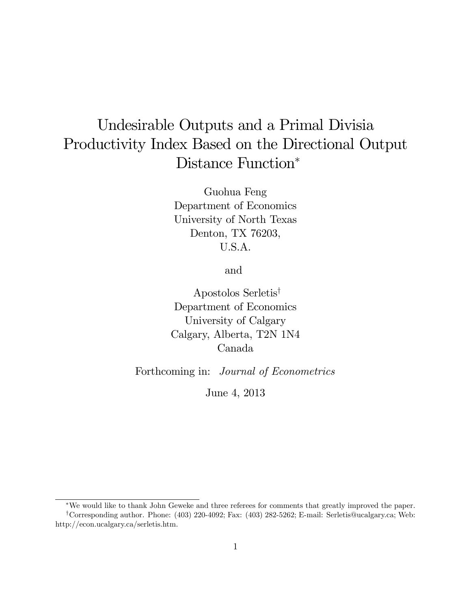# Undesirable Outputs and a Primal Divisia Productivity Index Based on the Directional Output Distance Function\*

Guohua Feng Department of Economics University of North Texas Denton, TX 76203, U.S.A.

and

Apostolos Serletis<sup>†</sup> Department of Economics University of Calgary Calgary, Alberta, T2N 1N4 Canada

Forthcoming in: Journal of Econometrics

June 4, 2013

We would like to thank John Geweke and three referees for comments that greatly improved the paper. <sup>y</sup>Corresponding author. Phone: (403) 220-4092; Fax: (403) 282-5262; E-mail: Serletis@ucalgary.ca; Web: http://econ.ucalgary.ca/serletis.htm.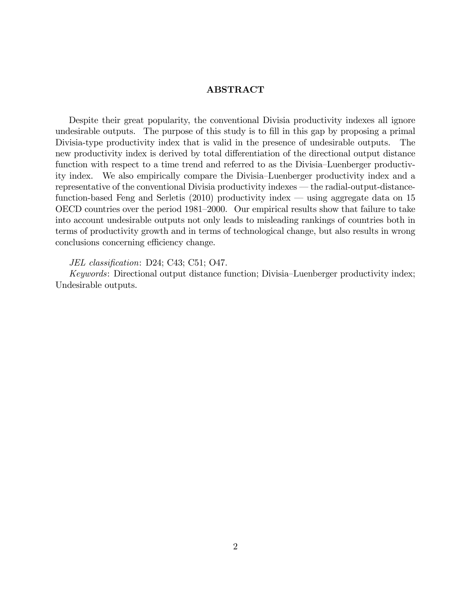#### ABSTRACT

Despite their great popularity, the conventional Divisia productivity indexes all ignore undesirable outputs. The purpose of this study is to fill in this gap by proposing a primal Divisia-type productivity index that is valid in the presence of undesirable outputs. The new productivity index is derived by total differentiation of the directional output distance function with respect to a time trend and referred to as the Divisia–Luenberger productivity index. We also empirically compare the Divisia–Luenberger productivity index and a representative of the conventional Divisia productivity indexes – the radial-output-distancefunction-based Feng and Serletis  $(2010)$  productivity index — using aggregate data on 15 OECD countries over the period 1981–2000. Our empirical results show that failure to take into account undesirable outputs not only leads to misleading rankings of countries both in terms of productivity growth and in terms of technological change, but also results in wrong conclusions concerning efficiency change.

JEL classification: D24; C43; C51; O47.

Keywords: Directional output distance function; Divisia–Luenberger productivity index; Undesirable outputs.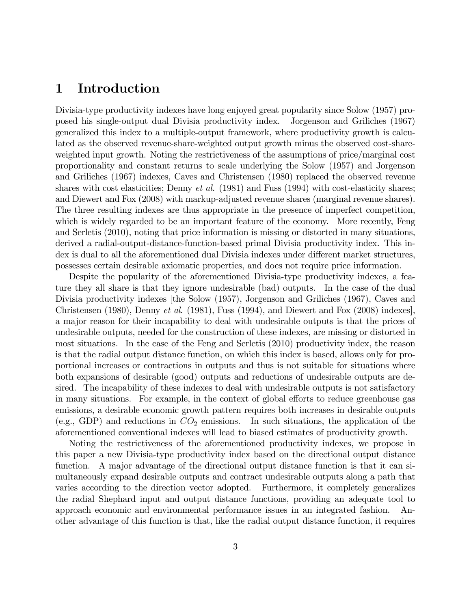### 1 Introduction

Divisia-type productivity indexes have long enjoyed great popularity since Solow (1957) proposed his single-output dual Divisia productivity index. Jorgenson and Griliches (1967) generalized this index to a multiple-output framework, where productivity growth is calculated as the observed revenue-share-weighted output growth minus the observed cost-shareweighted input growth. Noting the restrictiveness of the assumptions of price/marginal cost proportionality and constant returns to scale underlying the Solow (1957) and Jorgenson and Griliches (1967) indexes, Caves and Christensen (1980) replaced the observed revenue shares with cost elasticities; Denny *et al.* (1981) and Fuss (1994) with cost-elasticity shares; and Diewert and Fox (2008) with markup-adjusted revenue shares (marginal revenue shares). The three resulting indexes are thus appropriate in the presence of imperfect competition, which is widely regarded to be an important feature of the economy. More recently, Feng and Serletis (2010), noting that price information is missing or distorted in many situations, derived a radial-output-distance-function-based primal Divisia productivity index. This index is dual to all the aforementioned dual Divisia indexes under different market structures, possesses certain desirable axiomatic properties, and does not require price information.

Despite the popularity of the aforementioned Divisia-type productivity indexes, a feature they all share is that they ignore undesirable (bad) outputs. In the case of the dual Divisia productivity indexes [the Solow (1957), Jorgenson and Griliches (1967), Caves and Christensen (1980), Denny et al. (1981), Fuss (1994), and Diewert and Fox (2008) indexes], a major reason for their incapability to deal with undesirable outputs is that the prices of undesirable outputs, needed for the construction of these indexes, are missing or distorted in most situations. In the case of the Feng and Serletis (2010) productivity index, the reason is that the radial output distance function, on which this index is based, allows only for proportional increases or contractions in outputs and thus is not suitable for situations where both expansions of desirable (good) outputs and reductions of undesirable outputs are desired. The incapability of these indexes to deal with undesirable outputs is not satisfactory in many situations. For example, in the context of global efforts to reduce greenhouse gas emissions, a desirable economic growth pattern requires both increases in desirable outputs (e.g., GDP) and reductions in  $CO<sub>2</sub>$  emissions. In such situations, the application of the aforementioned conventional indexes will lead to biased estimates of productivity growth.

Noting the restrictiveness of the aforementioned productivity indexes, we propose in this paper a new Divisia-type productivity index based on the directional output distance function. A major advantage of the directional output distance function is that it can simultaneously expand desirable outputs and contract undesirable outputs along a path that varies according to the direction vector adopted. Furthermore, it completely generalizes the radial Shephard input and output distance functions, providing an adequate tool to approach economic and environmental performance issues in an integrated fashion. Another advantage of this function is that, like the radial output distance function, it requires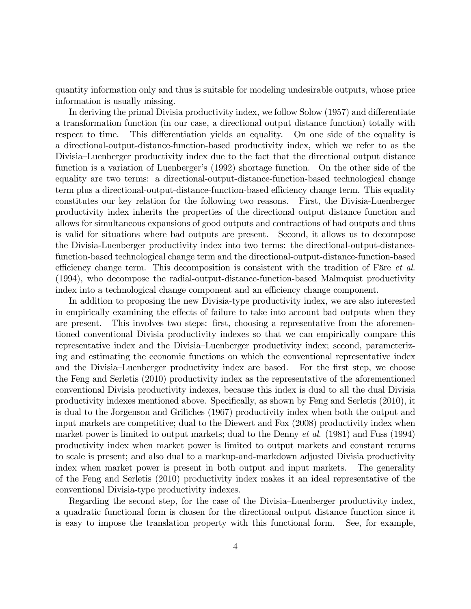quantity information only and thus is suitable for modeling undesirable outputs, whose price information is usually missing.

In deriving the primal Divisia productivity index, we follow Solow (1957) and differentiate a transformation function (in our case, a directional output distance function) totally with respect to time. This differentiation yields an equality. On one side of the equality is a directional-output-distance-function-based productivity index, which we refer to as the Divisia–Luenberger productivity index due to the fact that the directional output distance function is a variation of Luenberger's (1992) shortage function. On the other side of the equality are two terms: a directional-output-distance-function-based technological change term plus a directional-output-distance-function-based efficiency change term. This equality constitutes our key relation for the following two reasons. First, the Divisia-Luenberger productivity index inherits the properties of the directional output distance function and allows for simultaneous expansions of good outputs and contractions of bad outputs and thus is valid for situations where bad outputs are present. Second, it allows us to decompose the Divisia-Luenberger productivity index into two terms: the directional-output-distancefunction-based technological change term and the directional-output-distance-function-based efficiency change term. This decomposition is consistent with the tradition of Färe  $et$  al. (1994), who decompose the radial-output-distance-function-based Malmquist productivity index into a technological change component and an efficiency change component.

In addition to proposing the new Divisia-type productivity index, we are also interested in empirically examining the effects of failure to take into account bad outputs when they are present. This involves two steps: first, choosing a representative from the aforementioned conventional Divisia productivity indexes so that we can empirically compare this representative index and the Divisia–Luenberger productivity index; second, parameterizing and estimating the economic functions on which the conventional representative index and the Divisia–Luenberger productivity index are based. For the first step, we choose the Feng and Serletis (2010) productivity index as the representative of the aforementioned conventional Divisia productivity indexes, because this index is dual to all the dual Divisia productivity indexes mentioned above. Specifically, as shown by Feng and Serletis (2010), it is dual to the Jorgenson and Griliches (1967) productivity index when both the output and input markets are competitive; dual to the Diewert and Fox (2008) productivity index when market power is limited to output markets; dual to the Denny *et al.* (1981) and Fuss (1994) productivity index when market power is limited to output markets and constant returns to scale is present; and also dual to a markup-and-markdown adjusted Divisia productivity index when market power is present in both output and input markets. The generality of the Feng and Serletis (2010) productivity index makes it an ideal representative of the conventional Divisia-type productivity indexes.

Regarding the second step, for the case of the Divisia–Luenberger productivity index, a quadratic functional form is chosen for the directional output distance function since it is easy to impose the translation property with this functional form. See, for example,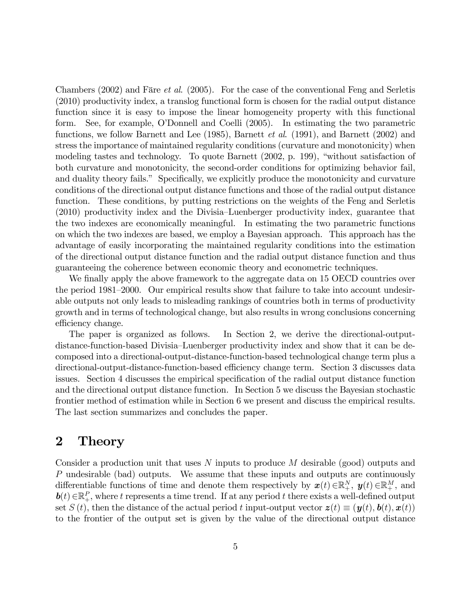Chambers (2002) and Färe *et al.* (2005). For the case of the conventional Feng and Serletis (2010) productivity index, a translog functional form is chosen for the radial output distance function since it is easy to impose the linear homogeneity property with this functional form. See, for example, OíDonnell and Coelli (2005). In estimating the two parametric functions, we follow Barnett and Lee (1985), Barnett *et al.* (1991), and Barnett (2002) and stress the importance of maintained regularity conditions (curvature and monotonicity) when modeling tastes and technology. To quote Barnett  $(2002, p. 199)$ , "without satisfaction of both curvature and monotonicity, the second-order conditions for optimizing behavior fail, and duality theory fails." Specifically, we explicitly produce the monotonicity and curvature conditions of the directional output distance functions and those of the radial output distance function. These conditions, by putting restrictions on the weights of the Feng and Serletis  $(2010)$  productivity index and the Divisia–Luenberger productivity index, guarantee that the two indexes are economically meaningful. In estimating the two parametric functions on which the two indexes are based, we employ a Bayesian approach. This approach has the advantage of easily incorporating the maintained regularity conditions into the estimation of the directional output distance function and the radial output distance function and thus guaranteeing the coherence between economic theory and econometric techniques.

We finally apply the above framework to the aggregate data on 15 OECD countries over the period 1981–2000. Our empirical results show that failure to take into account undesirable outputs not only leads to misleading rankings of countries both in terms of productivity growth and in terms of technological change, but also results in wrong conclusions concerning efficiency change.

The paper is organized as follows. In Section 2, we derive the directional-outputdistance-function-based Divisia–Luenberger productivity index and show that it can be decomposed into a directional-output-distance-function-based technological change term plus a directional-output-distance-function-based efficiency change term. Section 3 discusses data issues. Section 4 discusses the empirical specification of the radial output distance function and the directional output distance function. In Section 5 we discuss the Bayesian stochastic frontier method of estimation while in Section 6 we present and discuss the empirical results. The last section summarizes and concludes the paper.

### 2 Theory

Consider a production unit that uses N inputs to produce M desirable (good) outputs and P undesirable (bad) outputs. We assume that these inputs and outputs are continuously differentiable functions of time and denote them respectively by  $\mathbf{x}(t) \in \mathbb{R}^N_+$ ,  $\mathbf{y}(t) \in \mathbb{R}^M_+$ , and  $\mathbf{b}(t) \in \mathbb{R}_+^P$ , where t represents a time trend. If at any period t there exists a well-defined output set  $S(t)$ , then the distance of the actual period t input-output vector  $z(t) \equiv (y(t), b(t), x(t))$ to the frontier of the output set is given by the value of the directional output distance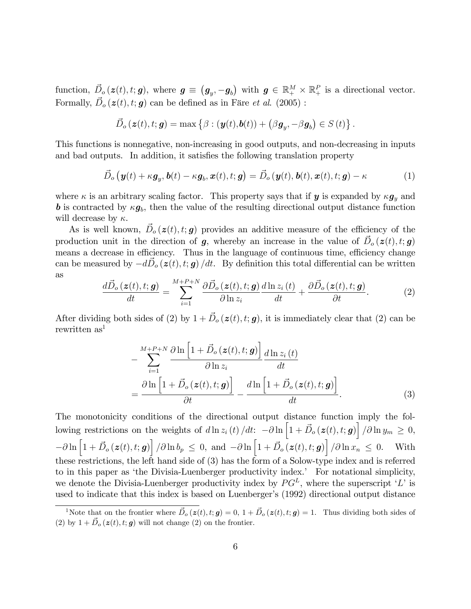function,  $\vec{D}_o(z(t), t; g)$ , where  $g \equiv (g_y, -g_b)$  with  $g \in \mathbb{R}_+^M \times \mathbb{R}_+^P$  is a directional vector. Formally,  $\vec{D}_o(z(t), t; g)$  can be defined as in Färe *et al.* (2005) :

$$
\vec{D}_{o}(\boldsymbol{z}(t), t; \boldsymbol{g}) = \max \left\{ \beta : (\boldsymbol{y}(t), \boldsymbol{b}(t)) + (\beta \boldsymbol{g}_y, -\beta \boldsymbol{g}_b) \in S(t) \right\}.
$$

This functions is nonnegative, non-increasing in good outputs, and non-decreasing in inputs and bad outputs. In addition, it satisfies the following translation property

$$
\vec{D}_o\left(\mathbf{y}(t) + \kappa \mathbf{g}_y, \mathbf{b}(t) - \kappa \mathbf{g}_b, \mathbf{x}(t), t; \mathbf{g}\right) = \vec{D}_o\left(\mathbf{y}(t), \mathbf{b}(t), \mathbf{x}(t), t; \mathbf{g}\right) - \kappa \tag{1}
$$

where  $\kappa$  is an arbitrary scaling factor. This property says that if y is expanded by  $\kappa g_y$  and **b** is contracted by  $\kappa g_b$ , then the value of the resulting directional output distance function will decrease by  $\kappa$ .

As is well known,  $\vec{D}_o(z(t), t; g)$  provides an additive measure of the efficiency of the production unit in the direction of  $g$ , whereby an increase in the value of  $\vec{D}_o(z(t), t; g)$ means a decrease in efficiency. Thus in the language of continuous time, efficiency change can be measured by  $-d\vec{D}_o(z(t), t; g)/dt$ . By definition this total differential can be written as

$$
\frac{d\vec{D}_o(\mathbf{z}(t),t;\mathbf{g})}{dt} = \sum_{i=1}^{M+P+N} \frac{\partial \vec{D}_o(\mathbf{z}(t),t;\mathbf{g})}{\partial \ln z_i} \frac{d\ln z_i(t)}{dt} + \frac{\partial \vec{D}_o(\mathbf{z}(t),t;\mathbf{g})}{\partial t}.
$$
(2)

After dividing both sides of (2) by  $1 + \vec{D}_o(z(t), t; g)$ , it is immediately clear that (2) can be rewritten as<sup>1</sup>

$$
-\sum_{i=1}^{M+P+N} \frac{\partial \ln\left[1+\vec{D}_o\left(\mathbf{z}(t),t;\mathbf{g}\right)\right]}{\partial \ln z_i} \frac{d \ln z_i(t)}{dt}
$$

$$
=\frac{\partial \ln\left[1+\vec{D}_o\left(\mathbf{z}(t),t;\mathbf{g}\right)\right]}{\partial t} - \frac{d \ln\left[1+\vec{D}_o\left(\mathbf{z}(t),t;\mathbf{g}\right)\right]}{dt}.
$$
(3)

The monotonicity conditions of the directional output distance function imply the following restrictions on the weights of  $d \ln z_i(t) / dt: -\partial \ln \left[1 + \vec{D}_o(z(t), t; \boldsymbol{g})\right] / \partial \ln y_m \geq 0$ ,  $-\partial \ln \left[1+\vec{D}_o\left(\bm{z}(t),t;\bm{g}\right)\right]/\partial \ln b_p \leq 0$ , and  $-\partial \ln \left[1+\vec{D}_o\left(\bm{z}(t),t;\bm{g}\right)\right]/\partial \ln x_n \leq 0$ . With these restrictions, the left hand side of (3) has the form of a Solow-type index and is referred to in this paper as 'the Divisia-Luenberger productivity index.' For notational simplicity, we denote the Divisia-Luenberger productivity index by  $PG<sup>L</sup>$ , where the superscript 'L' is used to indicate that this index is based on Luenberger's (1992) directional output distance

<sup>&</sup>lt;sup>1</sup>Note that on the frontier where  $\vec{D}_o(z(t), t; g) = 0, 1 + \vec{D}_o(z(t), t; g) = 1$ . Thus dividing both sides of (2) by  $1 + \vec{D}_o(z(t), t; g)$  will not change (2) on the frontier.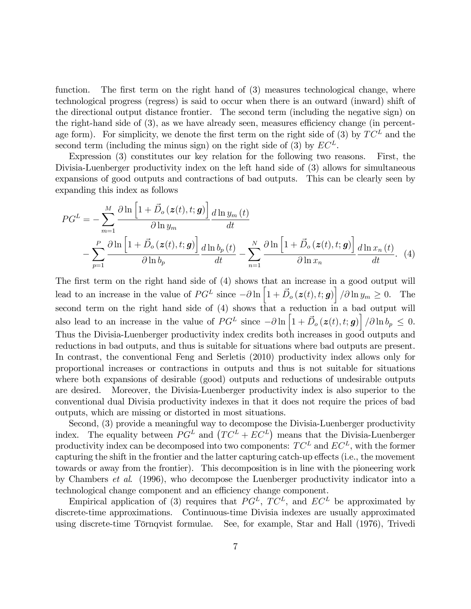function. The first term on the right hand of  $(3)$  measures technological change, where technological progress (regress) is said to occur when there is an outward (inward) shift of the directional output distance frontier. The second term (including the negative sign) on the right-hand side of  $(3)$ , as we have already seen, measures efficiency change (in percentage form). For simplicity, we denote the first term on the right side of (3) by  $TC^L$  and the second term (including the minus sign) on the right side of (3) by  $EC<sup>L</sup>$ .

Expression (3) constitutes our key relation for the following two reasons. First, the Divisia-Luenberger productivity index on the left hand side of (3) allows for simultaneous expansions of good outputs and contractions of bad outputs. This can be clearly seen by expanding this index as follows

$$
PG^{L} = -\sum_{m=1}^{M} \frac{\partial \ln\left[1+\vec{D}_{o}\left(\boldsymbol{z}(t), t; \boldsymbol{g}\right)\right]}{\partial \ln y_{m}} \frac{d \ln y_{m}\left(t\right)}{dt} -\sum_{p=1}^{P} \frac{\partial \ln\left[1+\vec{D}_{o}\left(\boldsymbol{z}(t), t; \boldsymbol{g}\right)\right]}{\partial \ln b_{p}} \frac{d \ln b_{p}\left(t\right)}{dt} - \sum_{n=1}^{N} \frac{\partial \ln\left[1+\vec{D}_{o}\left(\boldsymbol{z}(t), t; \boldsymbol{g}\right)\right]}{\partial \ln x_{n}} \frac{d \ln x_{n}\left(t\right)}{dt}.
$$
 (4)

The first term on the right hand side of (4) shows that an increase in a good output will lead to an increase in the value of  $PG^L$  since  $-\partial \ln \left[1+\vec{D}_o(\boldsymbol{z}(t),t;\boldsymbol{g})\right] / \partial \ln y_m \geq 0$ . The second term on the right hand side of (4) shows that a reduction in a bad output will also lead to an increase in the value of  $PG^L$  since  $-\partial \ln \left[1 + \vec{D}_o(\boldsymbol{z}(t), t; \boldsymbol{g})\right] / \partial \ln b_p \leq 0$ . Thus the Divisia-Luenberger productivity index credits both increases in good outputs and reductions in bad outputs, and thus is suitable for situations where bad outputs are present. In contrast, the conventional Feng and Serletis (2010) productivity index allows only for proportional increases or contractions in outputs and thus is not suitable for situations where both expansions of desirable (good) outputs and reductions of undesirable outputs are desired. Moreover, the Divisia-Luenberger productivity index is also superior to the conventional dual Divisia productivity indexes in that it does not require the prices of bad outputs, which are missing or distorted in most situations.

Second, (3) provide a meaningful way to decompose the Divisia-Luenberger productivity index. The equality between  $PG<sup>L</sup>$  and  $(TC<sup>L</sup> + EC<sup>L</sup>)$  means that the Divisia-Luenberger productivity index can be decomposed into two components:  $TC^L$  and  $EC^L$ , with the former capturing the shift in the frontier and the latter capturing catch-up effects (i.e., the movement towards or away from the frontier). This decomposition is in line with the pioneering work by Chambers et al. (1996), who decompose the Luenberger productivity indicator into a technological change component and an efficiency change component.

Empirical application of (3) requires that  $PG<sup>L</sup>$ ,  $TC<sup>L</sup>$ , and  $EC<sup>L</sup>$  be approximated by discrete-time approximations. Continuous-time Divisia indexes are usually approximated using discrete-time Törnqvist formulae. See, for example, Star and Hall (1976), Trivedi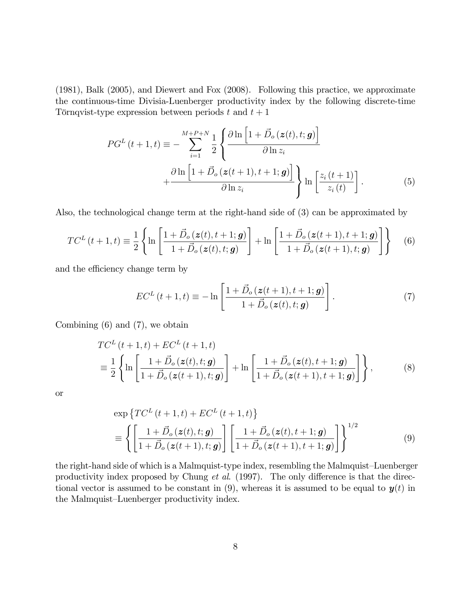(1981), Balk (2005), and Diewert and Fox (2008). Following this practice, we approximate the continuous-time Divisia-Luenberger productivity index by the following discrete-time Törnqvist-type expression between periods t and  $t + 1$ 

$$
PG^{L}(t+1,t) \equiv -\sum_{i=1}^{M+P+N} \frac{1}{2} \left\{ \frac{\partial \ln\left[1+\vec{D}_{o}(z(t),t;g)\right]}{\partial \ln z_{i}} + \frac{\partial \ln\left[1+\vec{D}_{o}(z(t+1),t+1;g)\right]}{\partial \ln z_{i}} \right\} \ln\left[\frac{z_{i}(t+1)}{z_{i}(t)}\right].
$$
\n(5)

Also, the technological change term at the right-hand side of (3) can be approximated by

$$
TC^{L}(t+1,t) \equiv \frac{1}{2} \left\{ \ln \left[ \frac{1 + \vec{D}_{o}(z(t), t+1; \mathbf{g})}{1 + \vec{D}_{o}(z(t), t; \mathbf{g})} \right] + \ln \left[ \frac{1 + \vec{D}_{o}(z(t+1), t+1; \mathbf{g})}{1 + \vec{D}_{o}(z(t+1), t; \mathbf{g})} \right] \right\}
$$
(6)

and the efficiency change term by

$$
EC^{L}(t+1,t) \equiv -\ln\left[\frac{1+\vec{D}_{o}\left(\boldsymbol{z}(t+1),t+1;\boldsymbol{g}\right)}{1+\vec{D}_{o}\left(\boldsymbol{z}(t),t;\boldsymbol{g}\right)}\right].
$$
\n(7)

Combining  $(6)$  and  $(7)$ , we obtain

$$
TC^{L}(t+1,t) + EC^{L}(t+1,t)
$$
  
=  $\frac{1}{2}$  { $\ln \left[ \frac{1+\vec{D}_{o}(z(t),t;g)}{1+\vec{D}_{o}(z(t+1),t;g)} \right]$  +  $\ln \left[ \frac{1+\vec{D}_{o}(z(t),t+1;g)}{1+\vec{D}_{o}(z(t+1),t+1;g)} \right]$  }, (8)

or

$$
\exp\left\{TC^{L}(t+1,t) + EC^{L}(t+1,t)\right\}
$$
\n
$$
\equiv \left\{ \left[ \frac{1+\vec{D}_{o}(z(t),t;g)}{1+\vec{D}_{o}(z(t+1),t;g)} \right] \left[ \frac{1+\vec{D}_{o}(z(t),t+1;g)}{1+\vec{D}_{o}(z(t+1),t+1;g)} \right] \right\}^{1/2}
$$
\n(9)

the right-hand side of which is a Malmquist-type index, resembling the Malmquist–Luenberger productivity index proposed by Chung *et al.* (1997). The only difference is that the directional vector is assumed to be constant in  $(9)$ , whereas it is assumed to be equal to  $y(t)$  in the Malmquist–Luenberger productivity index.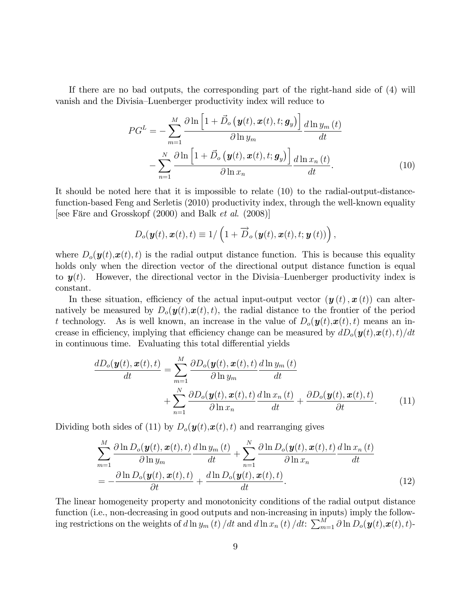If there are no bad outputs, the corresponding part of the right-hand side of (4) will vanish and the Divisia–Luenberger productivity index will reduce to

$$
PG^{L} = -\sum_{m=1}^{M} \frac{\partial \ln\left[1 + \vec{D}_{o}\left(\mathbf{y}(t), \mathbf{x}(t), t; \mathbf{g}_{y}\right)\right]}{\partial \ln y_{m}} \frac{d \ln y_{m}\left(t\right)}{dt}
$$

$$
-\sum_{n=1}^{N} \frac{\partial \ln\left[1 + \vec{D}_{o}\left(\mathbf{y}(t), \mathbf{x}(t), t; \mathbf{g}_{y}\right)\right]}{\partial \ln x_{n}} \frac{d \ln x_{n}\left(t\right)}{dt}.
$$
(10)

It should be noted here that it is impossible to relate (10) to the radial-output-distancefunction-based Feng and Serletis (2010) productivity index, through the well-known equality [see Färe and Grosskopf  $(2000)$  and Balk *et al.*  $(2008)$ ]

$$
D_o(\boldsymbol{y}(t),\boldsymbol{x}(t),t) \equiv 1/\left(1+\overrightarrow{D}_o(\boldsymbol{y}(t),\boldsymbol{x}(t),t;\boldsymbol{y}(t))\right),
$$

where  $D_o(\mathbf{y}(t), \mathbf{x}(t), t)$  is the radial output distance function. This is because this equality holds only when the direction vector of the directional output distance function is equal to  $y(t)$ . However, the directional vector in the Divisia–Luenberger productivity index is constant.

In these situation, efficiency of the actual input-output vector  $(\mathbf{y}(t), \mathbf{x}(t))$  can alternatively be measured by  $D_o(\mathbf{y}(t), \mathbf{x}(t), t)$ , the radial distance to the frontier of the period t technology. As is well known, an increase in the value of  $D_o(\mathbf{y}(t), \mathbf{x}(t), t)$  means an increase in efficiency, implying that efficiency change can be measured by  $dD_o(\boldsymbol{y}(t),\boldsymbol{x}(t),t)/dt$ in continuous time. Evaluating this total differential yields

$$
\frac{dD_o(\boldsymbol{y}(t), \boldsymbol{x}(t), t)}{dt} = \sum_{m=1}^{M} \frac{\partial D_o(\boldsymbol{y}(t), \boldsymbol{x}(t), t)}{\partial \ln y_m} \frac{d \ln y_m(t)}{dt} + \sum_{n=1}^{N} \frac{\partial D_o(\boldsymbol{y}(t), \boldsymbol{x}(t), t)}{\partial \ln x_n} \frac{d \ln x_n(t)}{dt} + \frac{\partial D_o(\boldsymbol{y}(t), \boldsymbol{x}(t), t)}{\partial t}.
$$
(11)

Dividing both sides of (11) by  $D_o(\boldsymbol{y}(t), \boldsymbol{x}(t), t)$  and rearranging gives

$$
\sum_{m=1}^{M} \frac{\partial \ln D_o(\boldsymbol{y}(t), \boldsymbol{x}(t), t)}{\partial \ln y_m} \frac{d \ln y_m(t)}{dt} + \sum_{n=1}^{N} \frac{\partial \ln D_o(\boldsymbol{y}(t), \boldsymbol{x}(t), t)}{\partial \ln x_n} \frac{d \ln x_n(t)}{dt}
$$
\n
$$
= -\frac{\partial \ln D_o(\boldsymbol{y}(t), \boldsymbol{x}(t), t)}{\partial t} + \frac{d \ln D_o(\boldsymbol{y}(t), \boldsymbol{x}(t), t)}{dt}.
$$
\n(12)

The linear homogeneity property and monotonicity conditions of the radial output distance function (i.e., non-decreasing in good outputs and non-increasing in inputs) imply the following restrictions on the weights of  $d\ln y_m(t) / dt$  and  $d\ln x_n(t) / dt: \sum_{m=1}^M \partial \ln D_o(\boldsymbol{y}(t), \boldsymbol{x}(t), t)$ -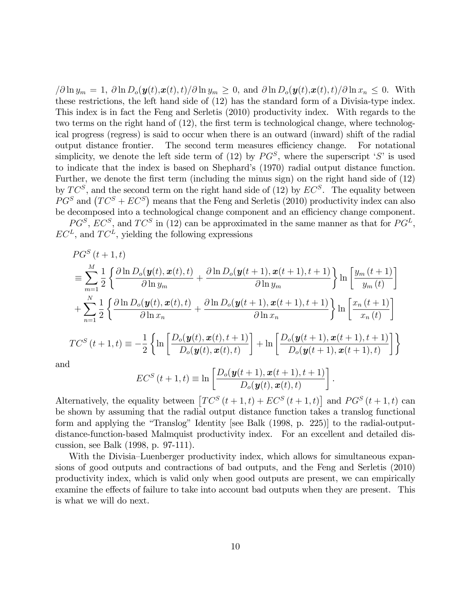$\partial \ln y_m = 1$ ,  $\partial \ln D_o(\mathbf{y}(t), \mathbf{x}(t), t)/\partial \ln y_m \ge 0$ , and  $\partial \ln D_o(\mathbf{y}(t), \mathbf{x}(t), t)/\partial \ln x_n \le 0$ . With these restrictions, the left hand side of (12) has the standard form of a Divisia-type index. This index is in fact the Feng and Serletis (2010) productivity index. With regards to the two terms on the right hand of  $(12)$ , the first term is technological change, where technological progress (regress) is said to occur when there is an outward (inward) shift of the radial output distance frontier. The second term measures efficiency change. For notational simplicity, we denote the left side term of  $(12)$  by  $PG^S$ , where the superscript 'S' is used to indicate that the index is based on Shephardís (1970) radial output distance function. Further, we denote the first term (including the minus sign) on the right hand side of (12) by  $TC^S$ , and the second term on the right hand side of (12) by  $EC^S$ . The equality between  $PG<sup>S</sup>$  and  $(TC<sup>S</sup> + EC<sup>S</sup>)$  means that the Feng and Serletis (2010) productivity index can also be decomposed into a technological change component and an efficiency change component.

 $PG^S$ ,  $EC^S$ , and  $TC^S$  in (12) can be approximated in the same manner as that for  $PG^L$ ,  $EC<sup>L</sup>$ , and  $TC<sup>L</sup>$ , yielding the following expressions

$$
PG^{S}(t+1,t)
$$
\n
$$
\begin{aligned}\n&= \sum_{m=1}^{M} \frac{1}{2} \left\{ \frac{\partial \ln D_{o}(\mathbf{y}(t), \mathbf{x}(t), t)}{\partial \ln y_{m}} + \frac{\partial \ln D_{o}(\mathbf{y}(t+1), \mathbf{x}(t+1), t+1)}{\partial \ln y_{m}} \right\} \ln \left[ \frac{y_{m}(t+1)}{y_{m}(t)} \right] \\
&+ \sum_{n=1}^{N} \frac{1}{2} \left\{ \frac{\partial \ln D_{o}(\mathbf{y}(t), \mathbf{x}(t), t)}{\partial \ln x_{n}} + \frac{\partial \ln D_{o}(\mathbf{y}(t+1), \mathbf{x}(t+1), t+1)}{\partial \ln x_{n}} \right\} \ln \left[ \frac{x_{n}(t+1)}{x_{n}(t)} \right] \\
\frac{TC^{S}(t+1, t)}{=} &= -\frac{1}{2} \left\{ \ln \left[ \frac{D_{o}(\mathbf{y}(t), \mathbf{x}(t), t+1)}{D_{o}(\mathbf{y}(t), \mathbf{x}(t), t)} \right] + \ln \left[ \frac{D_{o}(\mathbf{y}(t+1), \mathbf{x}(t+1), t+1)}{D_{o}(\mathbf{y}(t+1), \mathbf{x}(t+1), t)} \right] \right\}\n\end{aligned}
$$

and

$$
EC^{S}(t+1,t) \equiv \ln \left[ \frac{D_o(\boldsymbol{y}(t+1), \boldsymbol{x}(t+1), t+1)}{D_o(\boldsymbol{y}(t), \boldsymbol{x}(t), t)} \right].
$$

Alternatively, the equality between  $\left[TC^{S}(t+1,t) + EC^{S}(t+1,t)\right]$  and  $PG^{S}(t+1,t)$  can be shown by assuming that the radial output distance function takes a translog functional form and applying the "Translog" Identity [see Balk  $(1998, p. 225)$ ] to the radial-outputdistance-function-based Malmquist productivity index. For an excellent and detailed discussion, see Balk (1998, p. 97-111).

With the Divisia–Luenberger productivity index, which allows for simultaneous expansions of good outputs and contractions of bad outputs, and the Feng and Serletis (2010) productivity index, which is valid only when good outputs are present, we can empirically examine the effects of failure to take into account bad outputs when they are present. This is what we will do next.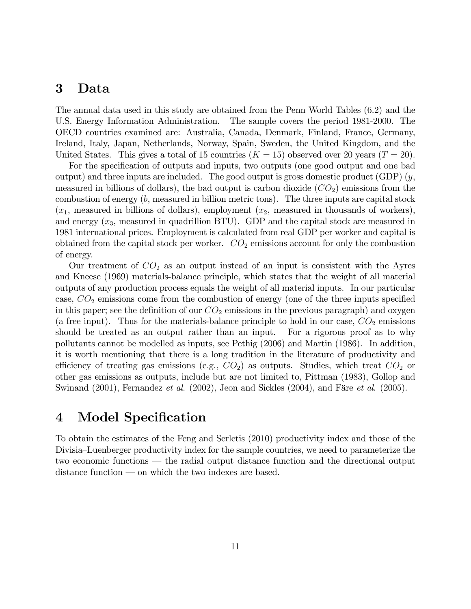### 3 Data

The annual data used in this study are obtained from the Penn World Tables (6.2) and the U.S. Energy Information Administration. The sample covers the period 1981-2000. The OECD countries examined are: Australia, Canada, Denmark, Finland, France, Germany, Ireland, Italy, Japan, Netherlands, Norway, Spain, Sweden, the United Kingdom, and the United States. This gives a total of 15 countries  $(K = 15)$  observed over 20 years  $(T = 20)$ .

For the specification of outputs and inputs, two outputs (one good output and one bad output) and three inputs are included. The good output is gross domestic product (GDP)  $(y,$ measured in billions of dollars), the bad output is carbon dioxide  $(CO<sub>2</sub>)$  emissions from the combustion of energy  $(b,$  measured in billion metric tons). The three inputs are capital stock  $(x_1,$  measured in billions of dollars), employment  $(x_2,$  measured in thousands of workers), and energy  $(x_3)$ , measured in quadrillion BTU). GDP and the capital stock are measured in 1981 international prices. Employment is calculated from real GDP per worker and capital is obtained from the capital stock per worker.  $CO<sub>2</sub>$  emissions account for only the combustion of energy.

Our treatment of  $CO<sub>2</sub>$  as an output instead of an input is consistent with the Ayres and Kneese (1969) materials-balance principle, which states that the weight of all material outputs of any production process equals the weight of all material inputs. In our particular case,  $CO<sub>2</sub>$  emissions come from the combustion of energy (one of the three inputs specified in this paper; see the definition of our  $CO<sub>2</sub>$  emissions in the previous paragraph) and oxygen (a free input). Thus for the materials-balance principle to hold in our case,  $CO<sub>2</sub>$  emissions should be treated as an output rather than an input. For a rigorous proof as to why pollutants cannot be modelled as inputs, see Pethig (2006) and Martin (1986). In addition, it is worth mentioning that there is a long tradition in the literature of productivity and efficiency of treating gas emissions (e.g.,  $CO<sub>2</sub>$ ) as outputs. Studies, which treat  $CO<sub>2</sub>$  or other gas emissions as outputs, include but are not limited to, Pittman (1983), Gollop and Swinand  $(2001)$ , Fernandez *et al.*  $(2002)$ , Jeon and Sickles  $(2004)$ , and Färe *et al.*  $(2005)$ .

### 4 Model Specification

To obtain the estimates of the Feng and Serletis (2010) productivity index and those of the Divisia–Luenberger productivity index for the sample countries, we need to parameterize the two economic functions – the radial output distance function and the directional output  $distance function \text{—} on which the two indexes are based.$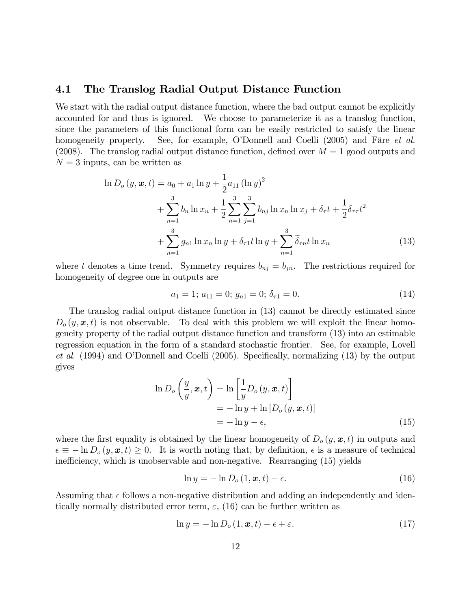#### 4.1 The Translog Radial Output Distance Function

We start with the radial output distance function, where the bad output cannot be explicitly accounted for and thus is ignored. We choose to parameterize it as a translog function, since the parameters of this functional form can be easily restricted to satisfy the linear homogeneity property. See, for example, O'Donnell and Coelli (2005) and Färe *et al.* (2008). The translog radial output distance function, defined over  $M = 1$  good outputs and  $N = 3$  inputs, can be written as

$$
\ln D_o(y, \mathbf{x}, t) = a_0 + a_1 \ln y + \frac{1}{2} a_{11} (\ln y)^2
$$
  
+ 
$$
\sum_{n=1}^3 b_n \ln x_n + \frac{1}{2} \sum_{n=1}^3 \sum_{j=1}^3 b_{nj} \ln x_n \ln x_j + \delta_\tau t + \frac{1}{2} \delta_{\tau \tau} t^2
$$
  
+ 
$$
\sum_{n=1}^3 g_{n1} \ln x_n \ln y + \delta_{\tau 1} t \ln y + \sum_{n=1}^3 \widetilde{\delta}_{\tau n} t \ln x_n
$$
(13)

where t denotes a time trend. Symmetry requires  $b_{nj} = b_{jn}$ . The restrictions required for homogeneity of degree one in outputs are

$$
a_1 = 1; a_{11} = 0; g_{n1} = 0; \delta_{\tau 1} = 0.
$$
\n
$$
(14)
$$

The translog radial output distance function in (13) cannot be directly estimated since  $D_{o}(y, x, t)$  is not observable. To deal with this problem we will exploit the linear homogeneity property of the radial output distance function and transform (13) into an estimable regression equation in the form of a standard stochastic frontier. See, for example, Lovell et al.  $(1994)$  and O'Donnell and Coelli  $(2005)$ . Specifically, normalizing  $(13)$  by the output gives

$$
\ln D_o\left(\frac{y}{y}, \boldsymbol{x}, t\right) = \ln\left[\frac{1}{y}D_o\left(y, \boldsymbol{x}, t\right)\right]
$$
  
=  $-\ln y + \ln\left[D_o\left(y, \boldsymbol{x}, t\right)\right]$   
=  $-\ln y - \epsilon,$  (15)

where the first equality is obtained by the linear homogeneity of  $D_{o}(y, x, t)$  in outputs and  $\epsilon \equiv -\ln D_o(y, x, t) \geq 0$ . It is worth noting that, by definition,  $\epsilon$  is a measure of technical inefficiency, which is unobservable and non-negative. Rearranging (15) yields

$$
\ln y = -\ln D_o(1, \boldsymbol{x}, t) - \epsilon. \tag{16}
$$

Assuming that  $\epsilon$  follows a non-negative distribution and adding an independently and identically normally distributed error term,  $\varepsilon$ , (16) can be further written as

$$
\ln y = -\ln D_o(1, \mathbf{x}, t) - \epsilon + \varepsilon. \tag{17}
$$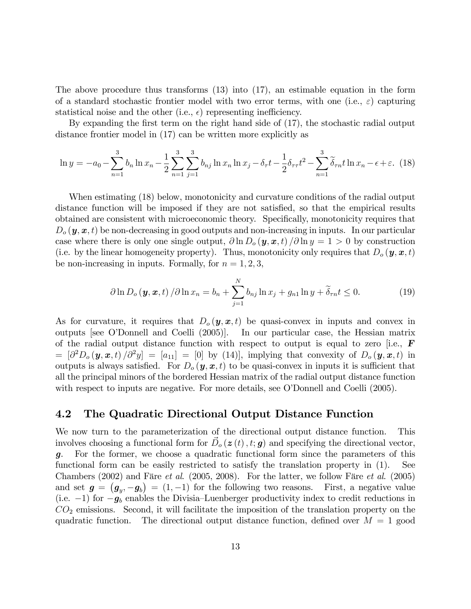The above procedure thus transforms (13) into (17), an estimable equation in the form of a standard stochastic frontier model with two error terms, with one (i.e.,  $\varepsilon$ ) capturing statistical noise and the other (i.e.,  $\epsilon$ ) representing inefficiency.

By expanding the first term on the right hand side of  $(17)$ , the stochastic radial output distance frontier model in (17) can be written more explicitly as

$$
\ln y = -a_0 - \sum_{n=1}^3 b_n \ln x_n - \frac{1}{2} \sum_{n=1}^3 \sum_{j=1}^3 b_{nj} \ln x_n \ln x_j - \delta_\tau t - \frac{1}{2} \delta_{\tau \tau} t^2 - \sum_{n=1}^3 \widetilde{\delta}_{\tau n} t \ln x_n - \epsilon + \epsilon. \tag{18}
$$

When estimating (18) below, monotonicity and curvature conditions of the radial output distance function will be imposed if they are not satisfied, so that the empirical results obtained are consistent with microeconomic theory. Specifically, monotonicity requires that  $D_{o}(\mathbf{y}, \mathbf{x}, t)$  be non-decreasing in good outputs and non-increasing in inputs. In our particular case where there is only one single output,  $\partial \ln D_o(y, x, t) / \partial \ln y = 1 > 0$  by construction (i.e. by the linear homogeneity property). Thus, monotonicity only requires that  $D_o(\mathbf{y}, \mathbf{x}, t)$ be non-increasing in inputs. Formally, for  $n = 1, 2, 3$ ,

$$
\partial \ln D_o(\mathbf{y}, \mathbf{x}, t) / \partial \ln x_n = b_n + \sum_{j=1}^N b_{nj} \ln x_j + g_{n1} \ln y + \widetilde{\delta}_{rn} t \le 0.
$$
 (19)

As for curvature, it requires that  $D_0(y, x, t)$  be quasi-convex in inputs and convex in outputs [see OíDonnell and Coelli (2005)]. In our particular case, the Hessian matrix of the radial output distance function with respect to output is equal to zero [i.e.,  $\bf{F}$  $= [\partial^2 D_o(\bm{y}, \bm{x}, t) / \partial^2 y] = [a_{11}] = [0]$  by (14), implying that convexity of  $D_o(\bm{y}, \bm{x}, t)$  in outputs is always satisfied. For  $D_o(y, x, t)$  to be quasi-convex in inputs it is sufficient that all the principal minors of the bordered Hessian matrix of the radial output distance function with respect to inputs are negative. For more details, see O'Donnell and Coelli (2005).

#### 4.2 The Quadratic Directional Output Distance Function

We now turn to the parameterization of the directional output distance function. This involves choosing a functional form for  $\vec{D}_{o}(\mathbf{z}(t), t; \mathbf{g})$  and specifying the directional vector, g. For the former, we choose a quadratic functional form since the parameters of this functional form can be easily restricted to satisfy the translation property in (1). See Chambers (2002) and Färe *et al.* (2005, 2008). For the latter, we follow Färe *et al.* (2005) and set  $g = (g_y, -g_b) = (1, -1)$  for the following two reasons. First, a negative value (i.e.  $-1$ ) for  $-g_b$  enables the Divisia–Luenberger productivity index to credit reductions in  $CO<sub>2</sub>$  emissions. Second, it will facilitate the imposition of the translation property on the quadratic function. The directional output distance function, defined over  $M = 1$  good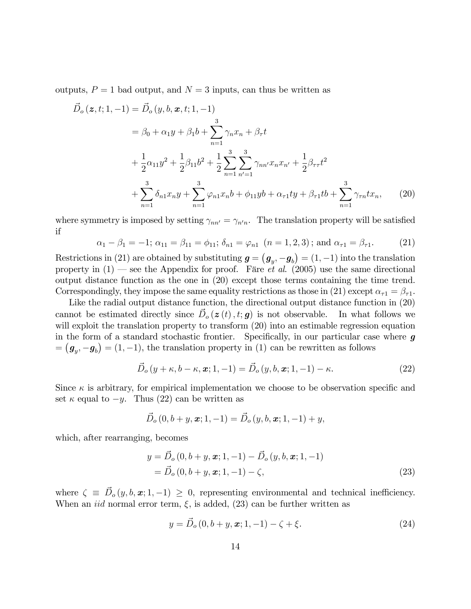outputs,  $P = 1$  bad output, and  $N = 3$  inputs, can thus be written as

$$
\vec{D}_{o}(z, t; 1, -1) = \vec{D}_{o}(y, b, x, t; 1, -1)
$$
\n
$$
= \beta_{0} + \alpha_{1}y + \beta_{1}b + \sum_{n=1}^{3} \gamma_{n}x_{n} + \beta_{\tau}t
$$
\n
$$
+ \frac{1}{2}\alpha_{11}y^{2} + \frac{1}{2}\beta_{11}b^{2} + \frac{1}{2}\sum_{n=1}^{3} \sum_{n'=1}^{3} \gamma_{nn'}x_{n}x_{n'} + \frac{1}{2}\beta_{\tau\tau}t^{2}
$$
\n
$$
+ \sum_{n=1}^{3} \delta_{n1}x_{n}y + \sum_{n=1}^{3} \varphi_{n1}x_{n}b + \varphi_{11}yb + \alpha_{\tau1}ty + \beta_{\tau1}tb + \sum_{n=1}^{3} \gamma_{\tau n}tx_{n}, \qquad (20)
$$

where symmetry is imposed by setting  $\gamma_{nn'} = \gamma_{n'n}$ . The translation property will be satisfied if

$$
\alpha_1 - \beta_1 = -1; \ \alpha_{11} = \beta_{11} = \phi_{11}; \ \delta_{n1} = \varphi_{n1} \ \ (n = 1, 2, 3); \text{ and } \alpha_{\tau 1} = \beta_{\tau 1}. \tag{21}
$$

Restrictions in (21) are obtained by substituting  $g = (g_y, -g_b) = (1, -1)$  into the translation property in  $(1)$  – see the Appendix for proof. Färe *et al.* (2005) use the same directional output distance function as the one in (20) except those terms containing the time trend. Correspondingly, they impose the same equality restrictions as those in (21) except  $\alpha_{\tau1} = \beta_{\tau1}$ .

Like the radial output distance function, the directional output distance function in (20) cannot be estimated directly since  $\vec{D}_{o}(\boldsymbol{z}(t), t; \boldsymbol{g})$  is not observable. In what follows we will exploit the translation property to transform  $(20)$  into an estimable regression equation in the form of a standard stochastic frontier. Specifically, in our particular case where  $g$  $=(g_y, -g_b) = (1, -1)$ , the translation property in (1) can be rewritten as follows

$$
\vec{D}_o(y+\kappa, b-\kappa, \mathbf{x}; 1, -1) = \vec{D}_o(y, b, \mathbf{x}; 1, -1) - \kappa.
$$
\n(22)

Since  $\kappa$  is arbitrary, for empirical implementation we choose to be observation specific and set  $\kappa$  equal to  $-y$ . Thus (22) can be written as

$$
\vec{D}_{o}(0, b+y, x; 1, -1) = \vec{D}_{o}(y, b, x; 1, -1) + y,
$$

which, after rearranging, becomes

$$
y = \vec{D}_o(0, b + y, \mathbf{x}; 1, -1) - \vec{D}_o(y, b, \mathbf{x}; 1, -1)
$$
  
=  $\vec{D}_o(0, b + y, \mathbf{x}; 1, -1) - \zeta,$  (23)

where  $\zeta \equiv \vec{D}_o(y, b, \mathbf{x}; 1, -1) \geq 0$ , representing environmental and technical inefficiency. When an *iid* normal error term,  $\xi$ , is added, (23) can be further written as

$$
y = \vec{D}_o(0, b + y, \mathbf{x}; 1, -1) - \zeta + \xi.
$$
 (24)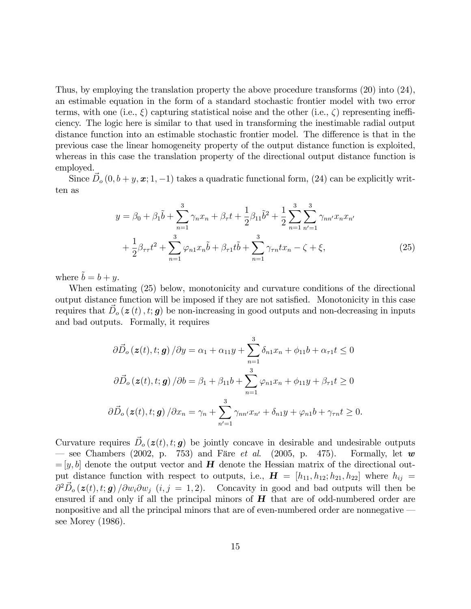Thus, by employing the translation property the above procedure transforms (20) into (24), an estimable equation in the form of a standard stochastic frontier model with two error terms, with one (i.e.,  $\xi$ ) capturing statistical noise and the other (i.e.,  $\zeta$ ) representing inefficiency. The logic here is similar to that used in transforming the inestimable radial output distance function into an estimable stochastic frontier model. The difference is that in the previous case the linear homogeneity property of the output distance function is exploited, whereas in this case the translation property of the directional output distance function is employed.

Since  $\vec{D}_o$   $(0, b + y, \mathbf{x}; 1, -1)$  takes a quadratic functional form, (24) can be explicitly written as

$$
y = \beta_0 + \beta_1 \tilde{b} + \sum_{n=1}^3 \gamma_n x_n + \beta_\tau t + \frac{1}{2} \beta_{11} \tilde{b}^2 + \frac{1}{2} \sum_{n=1}^3 \sum_{n'=1}^3 \gamma_{nn'} x_n x_{n'}
$$

$$
+ \frac{1}{2} \beta_{\tau \tau} t^2 + \sum_{n=1}^3 \varphi_{n1} x_n \tilde{b} + \beta_{\tau 1} t \tilde{b} + \sum_{n=1}^3 \gamma_{\tau n} t x_n - \zeta + \xi,
$$
(25)

where  $\tilde{b} = b + y$ .

When estimating (25) below, monotonicity and curvature conditions of the directional output distance function will be imposed if they are not satisfied. Monotonicity in this case requires that  $\vec{D}_o(z(t), t; g)$  be non-increasing in good outputs and non-decreasing in inputs and bad outputs. Formally, it requires

$$
\partial \vec{D}_o(\mathbf{z}(t), t; \mathbf{g}) / \partial y = \alpha_1 + \alpha_{11} y + \sum_{n=1}^3 \delta_{n1} x_n + \phi_{11} b + \alpha_{r1} t \le 0
$$
  

$$
\partial \vec{D}_o(\mathbf{z}(t), t; \mathbf{g}) / \partial b = \beta_1 + \beta_{11} b + \sum_{n=1}^3 \varphi_{n1} x_n + \phi_{11} y + \beta_{r1} t \ge 0
$$
  

$$
\partial \vec{D}_o(\mathbf{z}(t), t; \mathbf{g}) / \partial x_n = \gamma_n + \sum_{n'=1}^3 \gamma_{nn'} x_{n'} + \delta_{n1} y + \varphi_{n1} b + \gamma_{rn} t \ge 0.
$$

Curvature requires  $\vec{D}_o(z(t), t; g)$  be jointly concave in desirable and undesirable outputs ← see Chambers (2002, p. 753) and Färe *et al.* (2005, p. 475). Formally, let w  $=[y, b]$  denote the output vector and **H** denote the Hessian matrix of the directional output distance function with respect to outputs, i.e.,  $\mathbf{H} = [h_{11}, h_{12}; h_{21}, h_{22}]$  where  $h_{ij} =$  $\partial^2 \vec{D}_o(\boldsymbol{z}(t), t; \boldsymbol{g}) / \partial w_i \partial w_j$   $(i, j = 1, 2)$ . Concavity in good and bad outputs will then be ensured if and only if all the principal minors of  $H$  that are of odd-numbered order are nonpositive and all the principal minors that are of even-numbered order are nonnegative see Morey (1986).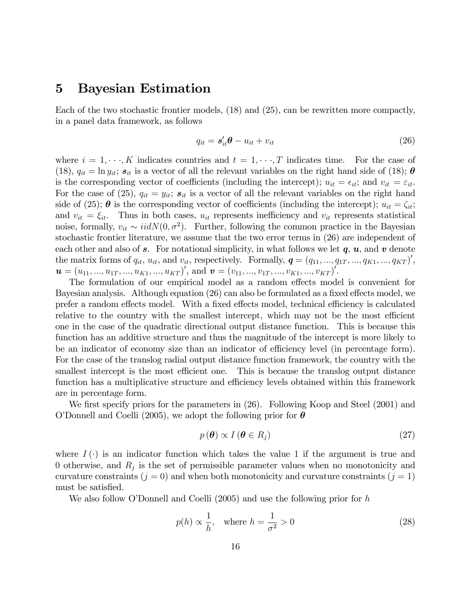#### 5 Bayesian Estimation

Each of the two stochastic frontier models, (18) and (25), can be rewritten more compactly, in a panel data framework, as follows

$$
q_{it} = \mathbf{s}'_{it} \boldsymbol{\theta} - u_{it} + v_{it} \tag{26}
$$

where  $i = 1, \dots, K$  indicates countries and  $t = 1, \dots, T$  indicates time. For the case of (18),  $q_{it} = \ln y_{it}$ ;  $s_{it}$  is a vector of all the relevant variables on the right hand side of (18);  $\theta$ is the corresponding vector of coefficients (including the intercept);  $u_{it} = \epsilon_{it}$ ; and  $v_{it} = \epsilon_{it}$ . For the case of (25),  $q_{it} = y_{it}$ ;  $s_{it}$  is a vector of all the relevant variables on the right hand side of (25);  $\theta$  is the corresponding vector of coefficients (including the intercept);  $u_{it} = \zeta_{it}$ ; and  $v_{it} = \xi_{it}$ . Thus in both cases,  $u_{it}$  represents inefficiency and  $v_{it}$  represents statistical noise, formally,  $v_{it} \sim \text{iidN}(0, \sigma^2)$ . Further, following the common practice in the Bayesian stochastic frontier literature, we assume that the two error terms in (26) are independent of each other and also of s. For notational simplicity, in what follows we let  $q, u$ , and v denote the matrix forms of  $q_{it}$ ,  $u_{it}$ , and  $v_{it}$ , respectively. Formally,  $\boldsymbol{q} = (q_{11}, ..., q_{1T}, ..., q_{K1}, ..., q_{KT})'$ ,  $\mathbf{u} = (u_{11},...,u_{1T},...,u_{K1},...,u_{KT})'$ , and  $\mathbf{v} = (v_{11},...,v_{1T},...,v_{K1},...,v_{KT})'$ .

The formulation of our empirical model as a random effects model is convenient for Bayesian analysis. Although equation (26) can also be formulated as a fixed effects model, we prefer a random effects model. With a fixed effects model, technical efficiency is calculated relative to the country with the smallest intercept, which may not be the most efficient one in the case of the quadratic directional output distance function. This is because this function has an additive structure and thus the magnitude of the intercept is more likely to be an indicator of economy size than an indicator of efficiency level (in percentage form). For the case of the translog radial output distance function framework, the country with the smallest intercept is the most efficient one. This is because the translog output distance function has a multiplicative structure and efficiency levels obtained within this framework are in percentage form.

We first specify priors for the parameters in  $(26)$ . Following Koop and Steel  $(2001)$  and O'Donnell and Coelli (2005), we adopt the following prior for  $\theta$ 

$$
p(\boldsymbol{\theta}) \propto I(\boldsymbol{\theta} \in R_j)
$$
 (27)

where  $I(\cdot)$  is an indicator function which takes the value 1 if the argument is true and 0 otherwise, and  $R_j$  is the set of permissible parameter values when no monotonicity and curvature constraints  $(j = 0)$  and when both monotonicity and curvature constraints  $(j = 1)$ must be satisfied.

We also follow O'Donnell and Coelli (2005) and use the following prior for  $h$ 

$$
p(h) \propto \frac{1}{h}, \quad \text{where } h = \frac{1}{\sigma^2} > 0 \tag{28}
$$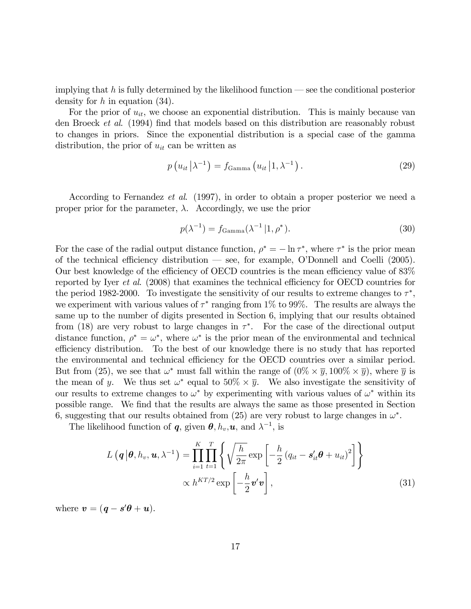implying that h is fully determined by the likelihood function  $\sim$  see the conditional posterior density for  $h$  in equation  $(34)$ .

For the prior of  $u_{it}$ , we choose an exponential distribution. This is mainly because van den Broeck *et al.* (1994) find that models based on this distribution are reasonably robust to changes in priors. Since the exponential distribution is a special case of the gamma distribution, the prior of  $u_{it}$  can be written as

$$
p\left(u_{it}\middle|\lambda^{-1}\right) = f_{\text{Gamma}}\left(u_{it}\middle|1,\lambda^{-1}\right). \tag{29}
$$

According to Fernandez et al. (1997), in order to obtain a proper posterior we need a proper prior for the parameter,  $\lambda$ . Accordingly, we use the prior

$$
p(\lambda^{-1}) = f_{\text{Gamma}}(\lambda^{-1} | 1, \rho^*). \tag{30}
$$

For the case of the radial output distance function,  $\rho^* = -\ln \tau^*$ , where  $\tau^*$  is the prior mean of the technical efficiency distribution  $\sim$  see, for example, O'Donnell and Coelli (2005). Our best knowledge of the efficiency of OECD countries is the mean efficiency value of 83% reported by Iyer *et al.* (2008) that examines the technical efficiency for OECD countries for the period 1982-2000. To investigate the sensitivity of our results to extreme changes to  $\tau^*$ , we experiment with various values of  $\tau^*$  ranging from 1% to 99%. The results are always the same up to the number of digits presented in Section 6, implying that our results obtained from (18) are very robust to large changes in  $\tau^*$ . For the case of the directional output distance function,  $\rho^* = \omega^*$ , where  $\omega^*$  is the prior mean of the environmental and technical efficiency distribution. To the best of our knowledge there is no study that has reported the environmental and technical efficiency for the OECD countries over a similar period. But from (25), we see that  $\omega^*$  must fall within the range of  $(0\% \times \overline{y}, 100\% \times \overline{y})$ , where  $\overline{y}$  is the mean of y. We thus set  $\omega^*$  equal to  $50\% \times \overline{y}$ . We also investigate the sensitivity of our results to extreme changes to  $\omega^*$  by experimenting with various values of  $\omega^*$  within its possible range. We Önd that the results are always the same as those presented in Section 6, suggesting that our results obtained from (25) are very robust to large changes in  $\omega^*$ .

The likelihood function of **q**, given  $\theta$ ,  $h_v$ , **u**, and  $\lambda^{-1}$ , is

$$
L\left(\boldsymbol{q}|\boldsymbol{\theta}, h_{v}, \boldsymbol{u}, \lambda^{-1}\right) = \prod_{i=1}^{K} \prod_{t=1}^{T} \left\{ \sqrt{\frac{h}{2\pi}} \exp\left[-\frac{h}{2} \left(q_{it} - \boldsymbol{s}_{it}'\boldsymbol{\theta} + u_{it}\right)^{2}\right] \right\}
$$

$$
\propto h^{KT/2} \exp\left[-\frac{h}{2} \boldsymbol{v}'\boldsymbol{v}\right],
$$
(31)

where  $\mathbf{v} = (\mathbf{q} - \mathbf{s}'\boldsymbol{\theta} + \mathbf{u}).$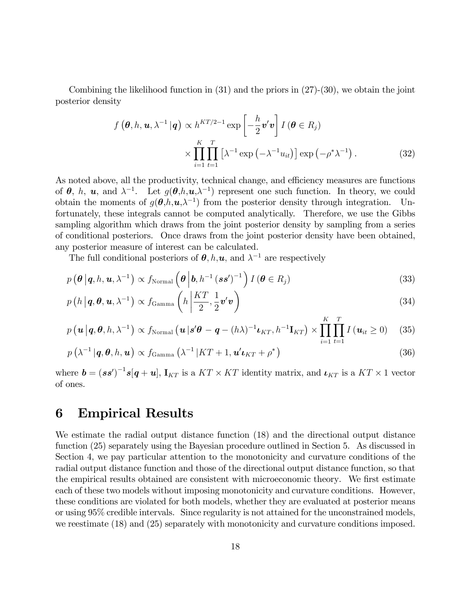Combining the likelihood function in (31) and the priors in (27)-(30), we obtain the joint posterior density

$$
f\left(\boldsymbol{\theta}, h, \boldsymbol{u}, \lambda^{-1} | \boldsymbol{q}\right) \propto h^{KT/2-1} \exp\left[-\frac{h}{2} \boldsymbol{v}' \boldsymbol{v}\right] I\left(\boldsymbol{\theta} \in R_{j}\right)
$$

$$
\times \prod_{i=1}^{K} \prod_{t=1}^{T} \left[\lambda^{-1} \exp\left(-\lambda^{-1} u_{it}\right)\right] \exp\left(-\rho^{*} \lambda^{-1}\right). \tag{32}
$$

As noted above, all the productivity, technical change, and efficiency measures are functions of  $\theta$ , h, u, and  $\lambda^{-1}$ . Let  $g(\theta,h,\mathbf{u},\lambda^{-1})$  represent one such function. In theory, we could obtain the moments of  $g(\theta, h, \mathbf{u}, \lambda^{-1})$  from the posterior density through integration. Unfortunately, these integrals cannot be computed analytically. Therefore, we use the Gibbs sampling algorithm which draws from the joint posterior density by sampling from a series of conditional posteriors. Once draws from the joint posterior density have been obtained, any posterior measure of interest can be calculated.

The full conditional posteriors of  $\theta$ , h, u, and  $\lambda^{-1}$  are respectively

$$
p\left(\boldsymbol{\theta}\,|\,\boldsymbol{q},\boldsymbol{h},\boldsymbol{u},\lambda^{-1}\right) \propto f_{\text{Normal}}\left(\boldsymbol{\theta}\,|\,\boldsymbol{b},\boldsymbol{h}^{-1}\left(\boldsymbol{s}\,\boldsymbol{s}'\right)^{-1}\right) I\left(\boldsymbol{\theta}\in R_{j}\right) \tag{33}
$$

$$
p\left(h\left|\boldsymbol{q},\boldsymbol{\theta},\boldsymbol{u},\lambda^{-1}\right.\right)\propto f_{\text{Gamma}}\left(h\left|\frac{KT}{2},\frac{1}{2}\boldsymbol{v}'\boldsymbol{v}\right.\right) \tag{34}
$$

$$
p\left(\mathbf{u} \,|\,\mathbf{q},\mathbf{\theta},h,\lambda^{-1}\right) \propto f_{\text{Normal}}\left(\mathbf{u} \,|\,\mathbf{s}'\mathbf{\theta} - \mathbf{q} - (h\lambda)^{-1}\mathbf{t}_{KT},h^{-1}\mathbf{I}_{KT}\right) \times \prod_{i=1}^{K} \prod_{t=1}^{T} I\left(\mathbf{u}_{it} \geq 0\right) \tag{35}
$$

$$
p\left(\lambda^{-1}|\mathbf{q},\boldsymbol{\theta},h,\mathbf{u}\right) \propto f_{\text{Gamma}}\left(\lambda^{-1}|KT+1,\mathbf{u}'\mathbf{v}_{KT}+\rho^*\right)
$$
\n(36)

where  $\mathbf{b} = (\mathbf{s}\mathbf{s}')^{-1}\mathbf{s}[\mathbf{q}+\mathbf{u}]$ ,  $\mathbf{I}_{KT}$  is a  $KT \times KT$  identity matrix, and  $\mathbf{L}_{KT}$  is a  $KT \times 1$  vector of ones.

### 6 Empirical Results

We estimate the radial output distance function (18) and the directional output distance function (25) separately using the Bayesian procedure outlined in Section 5. As discussed in Section 4, we pay particular attention to the monotonicity and curvature conditions of the radial output distance function and those of the directional output distance function, so that the empirical results obtained are consistent with microeconomic theory. We first estimate each of these two models without imposing monotonicity and curvature conditions. However, these conditions are violated for both models, whether they are evaluated at posterior means or using 95% credible intervals. Since regularity is not attained for the unconstrained models, we reestimate (18) and (25) separately with monotonicity and curvature conditions imposed.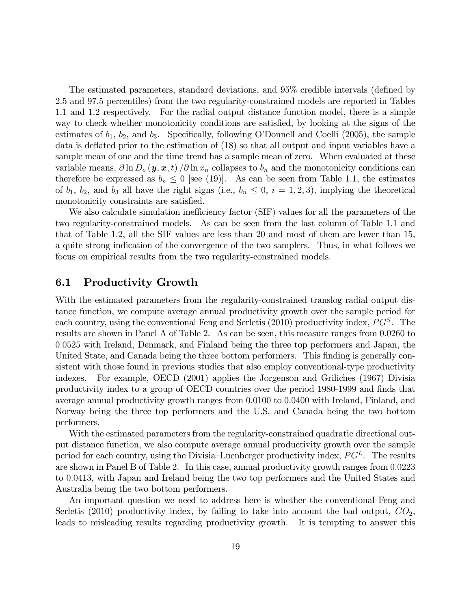The estimated parameters, standard deviations, and 95% credible intervals (defined by 2.5 and 97.5 percentiles) from the two regularity-constrained models are reported in Tables 1.1 and 1.2 respectively. For the radial output distance function model, there is a simple way to check whether monotonicity conditions are satisfied, by looking at the signs of the estimates of  $b_1$ ,  $b_2$ , and  $b_3$ . Specifically, following O'Donnell and Coelli (2005), the sample data is deflated prior to the estimation of  $(18)$  so that all output and input variables have a sample mean of one and the time trend has a sample mean of zero. When evaluated at these variable means,  $\partial \ln D_o(\mathbf{y}, \mathbf{x}, t) / \partial \ln x_n$  collapses to  $b_n$  and the monotonicity conditions can therefore be expressed as  $b_n \leq 0$  [see (19)]. As can be seen from Table 1.1, the estimates of  $b_1$ ,  $b_2$ , and  $b_3$  all have the right signs (i.e.,  $b_n \leq 0$ ,  $i = 1, 2, 3$ ), implying the theoretical monotonicity constraints are satisfied.

We also calculate simulation inefficiency factor (SIF) values for all the parameters of the two regularity-constrained models. As can be seen from the last column of Table 1.1 and that of Table 1.2, all the SIF values are less than 20 and most of them are lower than 15, a quite strong indication of the convergence of the two samplers. Thus, in what follows we focus on empirical results from the two regularity-constrained models.

#### 6.1 Productivity Growth

With the estimated parameters from the regularity-constrained translog radial output distance function, we compute average annual productivity growth over the sample period for each country, using the conventional Feng and Serletis (2010) productivity index,  $PG^S$ . The results are shown in Panel A of Table 2. As can be seen, this measure ranges from 0:0260 to 0:0525 with Ireland, Denmark, and Finland being the three top performers and Japan, the United State, and Canada being the three bottom performers. This finding is generally consistent with those found in previous studies that also employ conventional-type productivity indexes. For example, OECD (2001) applies the Jorgenson and Griliches (1967) Divisia productivity index to a group of OECD countries over the period 1980-1999 and Önds that average annual productivity growth ranges from 0:0100 to 0:0400 with Ireland, Finland, and Norway being the three top performers and the U.S. and Canada being the two bottom performers.

With the estimated parameters from the regularity-constrained quadratic directional output distance function, we also compute average annual productivity growth over the sample period for each country, using the Divisia–Luenberger productivity index,  $PG<sup>L</sup>$ . The results are shown in Panel B of Table 2. In this case, annual productivity growth ranges from 0:0223 to 0:0413, with Japan and Ireland being the two top performers and the United States and Australia being the two bottom performers.

An important question we need to address here is whether the conventional Feng and Serletis (2010) productivity index, by failing to take into account the bad output,  $CO<sub>2</sub>$ , leads to misleading results regarding productivity growth. It is tempting to answer this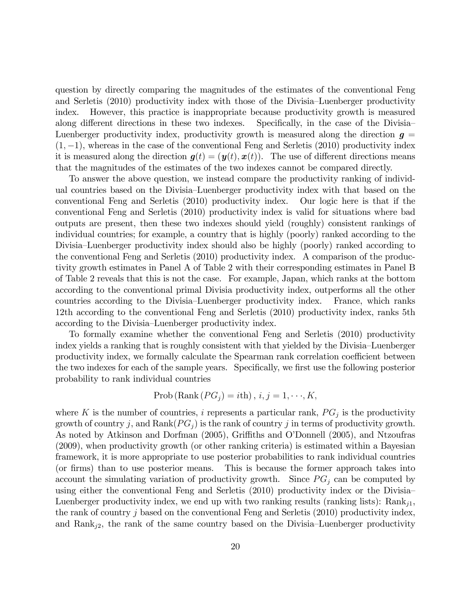question by directly comparing the magnitudes of the estimates of the conventional Feng and Serletis (2010) productivity index with those of the Divisia–Luenberger productivity index. However, this practice is inappropriate because productivity growth is measured along different directions in these two indexes. Specifically, in the case of the Divisia-Luenberger productivity index, productivity growth is measured along the direction  $g =$  $(1, -1)$ , whereas in the case of the conventional Feng and Serletis (2010) productivity index it is measured along the direction  $g(t) = (y(t), x(t))$ . The use of different directions means that the magnitudes of the estimates of the two indexes cannot be compared directly.

To answer the above question, we instead compare the productivity ranking of individual countries based on the Divisia–Luenberger productivity index with that based on the conventional Feng and Serletis (2010) productivity index. Our logic here is that if the conventional Feng and Serletis (2010) productivity index is valid for situations where bad outputs are present, then these two indexes should yield (roughly) consistent rankings of individual countries; for example, a country that is highly (poorly) ranked according to the Divisia–Luenberger productivity index should also be highly (poorly) ranked according to the conventional Feng and Serletis (2010) productivity index. A comparison of the productivity growth estimates in Panel A of Table 2 with their corresponding estimates in Panel B of Table 2 reveals that this is not the case. For example, Japan, which ranks at the bottom according to the conventional primal Divisia productivity index, outperforms all the other countries according to the Divisia–Luenberger productivity index. France, which ranks 12th according to the conventional Feng and Serletis (2010) productivity index, ranks 5th according to the Divisia–Luenberger productivity index.

To formally examine whether the conventional Feng and Serletis (2010) productivity index yields a ranking that is roughly consistent with that yielded by the Divisia–Luenberger productivity index, we formally calculate the Spearman rank correlation coefficient between the two indexes for each of the sample years. Specifically, we first use the following posterior probability to rank individual countries

$$
Prob(Rank (PGj) = ith), i, j = 1, \dots, K,
$$

where K is the number of countries, i represents a particular rank,  $PG_j$  is the productivity growth of country j, and Rank( $PG<sub>j</sub>$ ) is the rank of country j in terms of productivity growth. As noted by Atkinson and Dorfman (2005), Griffiths and O'Donnell (2005), and Ntzoufras (2009), when productivity growth (or other ranking criteria) is estimated within a Bayesian framework, it is more appropriate to use posterior probabilities to rank individual countries (or firms) than to use posterior means. This is because the former approach takes into account the simulating variation of productivity growth. Since  $PG<sub>j</sub>$  can be computed by using either the conventional Feng and Serletis  $(2010)$  productivity index or the Divisia-Luenberger productivity index, we end up with two ranking results (ranking lists):  $Rank_{i1}$ , the rank of country j based on the conventional Feng and Serletis  $(2010)$  productivity index, and  $\text{Rank}_{j2}$ , the rank of the same country based on the Divisia–Luenberger productivity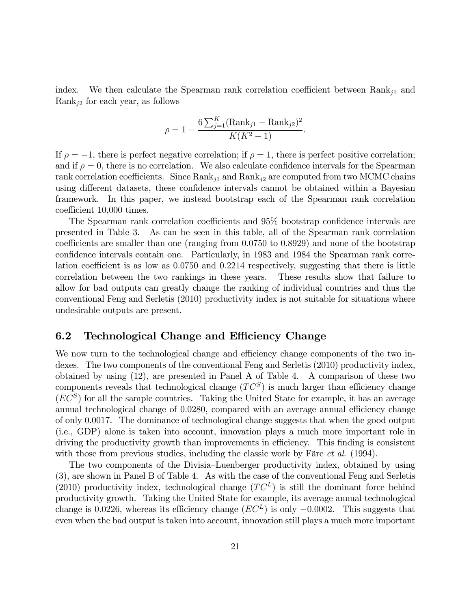index. We then calculate the Spearman rank correlation coefficient between  $Rank_{i1}$  and Rank<sub>j2</sub> for each year, as follows

$$
\rho = 1 - \frac{6 \sum_{j=1}^{K} (\text{Rank}_{j1} - \text{Rank}_{j2})^2}{K(K^2 - 1)}.
$$

If  $\rho = -1$ , there is perfect negative correlation; if  $\rho = 1$ , there is perfect positive correlation; and if  $\rho = 0$ , there is no correlation. We also calculate confidence intervals for the Spearman rank correlation coefficients. Since  $Rank_{j1}$  and  $Rank_{j2}$  are computed from two MCMC chains using different datasets, these confidence intervals cannot be obtained within a Bayesian framework. In this paper, we instead bootstrap each of the Spearman rank correlation coefficient 10,000 times.

The Spearman rank correlation coefficients and  $95\%$  bootstrap confidence intervals are presented in Table 3. As can be seen in this table, all of the Spearman rank correlation coefficients are smaller than one (ranging from  $0.0750$  to  $0.8929$ ) and none of the bootstrap confidence intervals contain one. Particularly, in 1983 and 1984 the Spearman rank correlation coefficient is as low as  $0.0750$  and  $0.2214$  respectively, suggesting that there is little correlation between the two rankings in these years. These results show that failure to allow for bad outputs can greatly change the ranking of individual countries and thus the conventional Feng and Serletis (2010) productivity index is not suitable for situations where undesirable outputs are present.

#### 6.2 Technological Change and Efficiency Change

We now turn to the technological change and efficiency change components of the two indexes. The two components of the conventional Feng and Serletis (2010) productivity index, obtained by using (12), are presented in Panel A of Table 4. A comparison of these two components reveals that technological change  $(T C^S)$  is much larger than efficiency change  $(EC^{S})$  for all the sample countries. Taking the United State for example, it has an average annual technological change of 0.0280, compared with an average annual efficiency change of only 0:0017. The dominance of technological change suggests that when the good output (i.e., GDP) alone is taken into account, innovation plays a much more important role in driving the productivity growth than improvements in efficiency. This finding is consistent with those from previous studies, including the classic work by Färe *et al.* (1994).

The two components of the Divisia–Luenberger productivity index, obtained by using (3), are shown in Panel B of Table 4. As with the case of the conventional Feng and Serletis (2010) productivity index, technological change  $(T C^L)$  is still the dominant force behind productivity growth. Taking the United State for example, its average annual technological change is 0.0226, whereas its efficiency change  $(EC^{L})$  is only  $-0.0002$ . This suggests that even when the bad output is taken into account, innovation still plays a much more important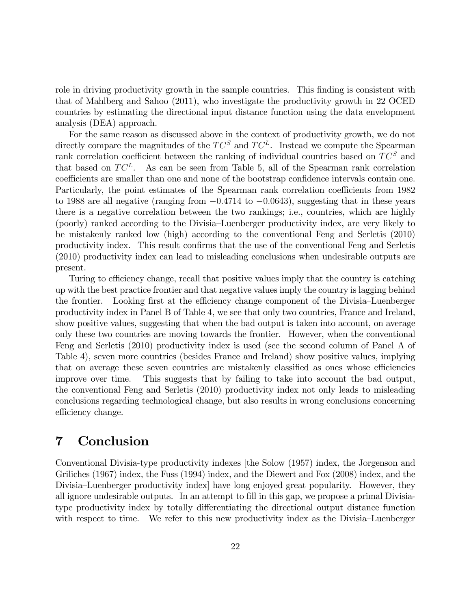role in driving productivity growth in the sample countries. This finding is consistent with that of Mahlberg and Sahoo (2011), who investigate the productivity growth in 22 OCED countries by estimating the directional input distance function using the data envelopment analysis (DEA) approach.

For the same reason as discussed above in the context of productivity growth, we do not directly compare the magnitudes of the  $TC^S$  and  $TC^L$ . Instead we compute the Spearman rank correlation coefficient between the ranking of individual countries based on  $TC^S$  and that based on  $TC^L$ . As can be seen from Table 5, all of the Spearman rank correlation coefficients are smaller than one and none of the bootstrap confidence intervals contain one. Particularly, the point estimates of the Spearman rank correlation coefficients from 1982 to 1988 are all negative (ranging from  $-0.4714$  to  $-0.0643$ ), suggesting that in these years there is a negative correlation between the two rankings; i.e., countries, which are highly (poorly) ranked according to the Divisia–Luenberger productivity index, are very likely to be mistakenly ranked low (high) according to the conventional Feng and Serletis (2010) productivity index. This result confirms that the use of the conventional Feng and Serletis (2010) productivity index can lead to misleading conclusions when undesirable outputs are present.

Turing to efficiency change, recall that positive values imply that the country is catching up with the best practice frontier and that negative values imply the country is lagging behind the frontier. Looking first at the efficiency change component of the Divisia–Luenberger productivity index in Panel B of Table 4, we see that only two countries, France and Ireland, show positive values, suggesting that when the bad output is taken into account, on average only these two countries are moving towards the frontier. However, when the conventional Feng and Serletis (2010) productivity index is used (see the second column of Panel A of Table 4), seven more countries (besides France and Ireland) show positive values, implying that on average these seven countries are mistakenly classified as ones whose efficiencies improve over time. This suggests that by failing to take into account the bad output, the conventional Feng and Serletis (2010) productivity index not only leads to misleading conclusions regarding technological change, but also results in wrong conclusions concerning efficiency change.

### 7 Conclusion

Conventional Divisia-type productivity indexes [the Solow (1957) index, the Jorgenson and Griliches (1967) index, the Fuss (1994) index, and the Diewert and Fox (2008) index, and the Divisia–Luenberger productivity index have long enjoyed great popularity. However, they all ignore undesirable outputs. In an attempt to fill in this gap, we propose a primal Divisiatype productivity index by totally differentiating the directional output distance function with respect to time. We refer to this new productivity index as the Divisia–Luenberger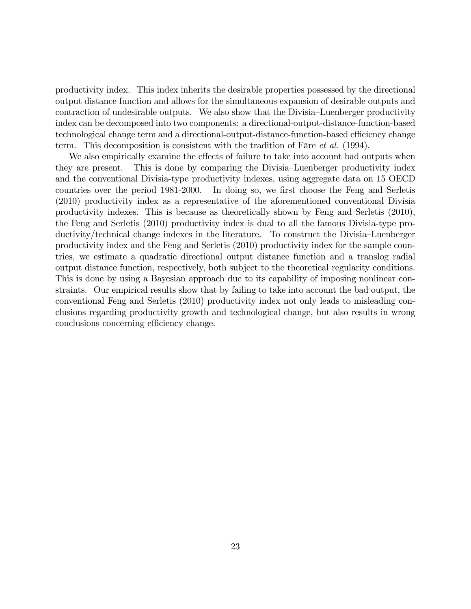productivity index. This index inherits the desirable properties possessed by the directional output distance function and allows for the simultaneous expansion of desirable outputs and contraction of undesirable outputs. We also show that the Divisia–Luenberger productivity index can be decomposed into two components: a directional-output-distance-function-based technological change term and a directional-output-distance-function-based efficiency change term. This decomposition is consistent with the tradition of Färe *et al.* (1994).

We also empirically examine the effects of failure to take into account bad outputs when they are present. This is done by comparing the Divisia–Luenberger productivity index and the conventional Divisia-type productivity indexes, using aggregate data on 15 OECD countries over the period 1981-2000. In doing so, we first choose the Feng and Serletis (2010) productivity index as a representative of the aforementioned conventional Divisia productivity indexes. This is because as theoretically shown by Feng and Serletis (2010), the Feng and Serletis (2010) productivity index is dual to all the famous Divisia-type productivity/technical change indexes in the literature. To construct the Divisia–Luenberger productivity index and the Feng and Serletis (2010) productivity index for the sample countries, we estimate a quadratic directional output distance function and a translog radial output distance function, respectively, both subject to the theoretical regularity conditions. This is done by using a Bayesian approach due to its capability of imposing nonlinear constraints. Our empirical results show that by failing to take into account the bad output, the conventional Feng and Serletis (2010) productivity index not only leads to misleading conclusions regarding productivity growth and technological change, but also results in wrong conclusions concerning efficiency change.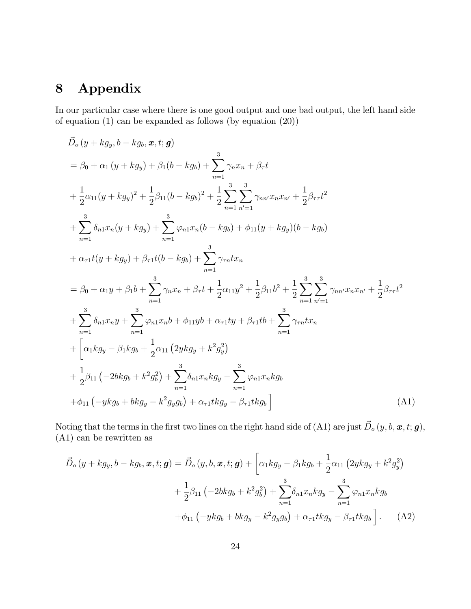## 8 Appendix

In our particular case where there is one good output and one bad output, the left hand side of equation (1) can be expanded as follows (by equation (20))

$$
\vec{D}_{o}(y + kg_{y}, b - kg_{b}, \mathbf{x}, t; \mathbf{g})
$$
\n
$$
= \beta_{0} + \alpha_{1}(y + kg_{y}) + \beta_{1}(b - kg_{b}) + \sum_{n=1}^{3} \gamma_{n}x_{n} + \beta_{\tau}t
$$
\n
$$
+ \frac{1}{2}\alpha_{11}(y + kg_{y})^{2} + \frac{1}{2}\beta_{11}(b - kg_{b})^{2} + \frac{1}{2}\sum_{n=1}^{3} \sum_{n'=1}^{3} \gamma_{nn'}x_{n}x_{n'} + \frac{1}{2}\beta_{\tau\tau}t^{2}
$$
\n
$$
+ \sum_{n=1}^{3} \delta_{n1}x_{n}(y + kg_{y}) + \sum_{n=1}^{3} \varphi_{n1}x_{n}(b - kg_{b}) + \varphi_{11}(y + kg_{y})(b - kg_{b})
$$
\n
$$
+ \alpha_{\tau1}t(y + kg_{y}) + \beta_{\tau1}t(b - kg_{b}) + \sum_{n=1}^{3} \gamma_{\tau n}tx_{n}
$$
\n
$$
= \beta_{0} + \alpha_{1}y + \beta_{1}b + \sum_{n=1}^{3} \gamma_{n}x_{n} + \beta_{\tau}t + \frac{1}{2}\alpha_{11}y^{2} + \frac{1}{2}\beta_{11}b^{2} + \frac{1}{2}\sum_{n=1}^{3} \sum_{n'=1}^{3} \gamma_{nn'}x_{n}x_{n'} + \frac{1}{2}\beta_{\tau\tau}t^{2}
$$
\n
$$
+ \sum_{n=1}^{3} \delta_{n1}x_{n}y + \sum_{n=1}^{3} \varphi_{n1}x_{n}b + \varphi_{11}yb + \alpha_{\tau1}ty + \beta_{\tau1}tb + \sum_{n=1}^{3} \gamma_{\tau n}tx_{n}
$$
\n
$$
+ \left[\alpha_{1}kg_{y} - \beta_{1}kg_{b} + \frac{1}{2}\alpha_{11}(2ykg_{y} + k^{2}g_{y}^{2}) + \frac{1}{2}\beta_{11}(-2bkg_{b} + k^{2}g_{b}^{2}) + \sum_{n=1}^{3} \beta_{n1}x_{n}kg_{y} - \sum_{n=1}^{3} \varphi_{n1}x_{n}kg_{b}
$$
\n

Noting that the terms in the first two lines on the right hand side of (A1) are just  $\vec{D}_o(y, b, \bm{x}, t; \bm{g})$ , (A1) can be rewritten as

$$
\vec{D}_{o}(y + kg_{y}, b - kg_{b}, \boldsymbol{x}, t; \boldsymbol{g}) = \vec{D}_{o}(y, b, \boldsymbol{x}, t; \boldsymbol{g}) + \left[\alpha_{1}kg_{y} - \beta_{1}kg_{b} + \frac{1}{2}\alpha_{11}\left(2ykg_{y} + k^{2}g_{y}^{2}\right) + \frac{1}{2}\beta_{11}\left(-2bkg_{b} + k^{2}g_{b}^{2}\right) + \sum_{n=1}^{3}\delta_{n1}x_{n}kg_{y} - \sum_{n=1}^{3}\varphi_{n1}x_{n}kg_{b} + \varphi_{11}\left(-ykg_{b} + bkg_{y} - k^{2}g_{y}g_{b}\right) + \alpha_{\tau1}tkg_{y} - \beta_{\tau1}tkg_{b}\right].
$$
\n(A2)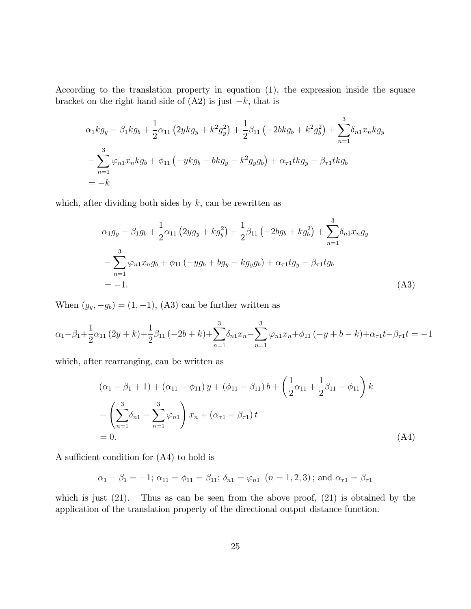According to the translation property in equation (1), the expression inside the square bracket on the right hand side of  $(A2)$  is just  $-k$ , that is

$$
\alpha_1 kg_y - \beta_1 kg_b + \frac{1}{2} \alpha_{11} (2ykg_y + k^2 g_y^2) + \frac{1}{2} \beta_{11} (-2bkg_b + k^2 g_b^2) + \sum_{n=1}^3 \delta_{n1} x_n kg_y
$$
  

$$
- \sum_{n=1}^3 \varphi_{n1} x_n kg_b + \phi_{11} (-ykg_b + bkg_y - k^2 g_y g_b) + \alpha_{\tau 1} tkg_y - \beta_{\tau 1} tkg_b
$$
  

$$
= -k
$$

which, after dividing both sides by  $k$ , can be rewritten as

$$
\alpha_1 g_y - \beta_1 g_b + \frac{1}{2} \alpha_{11} (2y g_y + k g_y^2) + \frac{1}{2} \beta_{11} (-2b g_b + k g_b^2) + \sum_{n=1}^3 \delta_{n1} x_n g_y
$$
  

$$
- \sum_{n=1}^3 \varphi_{n1} x_n g_b + \phi_{11} (-y g_b + b g_y - k g_y g_b) + \alpha_{\tau 1} t g_y - \beta_{\tau 1} t g_b
$$
  
= -1. (A3)

When  $(g_y, -g_b) = (1, -1)$ , (A3) can be further written as

$$
\alpha_1 - \beta_1 + \frac{1}{2}\alpha_{11}(2y+k) + \frac{1}{2}\beta_{11}(-2b+k) + \sum_{n=1}^3 \delta_{n1}x_n - \sum_{n=1}^3 \varphi_{n1}x_n + \phi_{11}(-y+b-k) + \alpha_{\tau 1}t - \beta_{\tau 1}t = -1
$$

which, after rearranging, can be written as

$$
(\alpha_1 - \beta_1 + 1) + (\alpha_{11} - \phi_{11}) y + (\phi_{11} - \beta_{11}) b + \left(\frac{1}{2}\alpha_{11} + \frac{1}{2}\beta_{11} - \phi_{11}\right) k
$$
  
+ 
$$
\left(\sum_{n=1}^{3} \delta_{n1} - \sum_{n=1}^{3} \varphi_{n1}\right) x_n + (\alpha_{\tau 1} - \beta_{\tau 1}) t
$$
  
= 0. (A4)

A sufficient condition for  $(A4)$  to hold is

$$
\alpha_1 - \beta_1 = -1
$$
;  $\alpha_{11} = \phi_{11} = \beta_{11}$ ;  $\delta_{n1} = \varphi_{n1}$   $(n = 1, 2, 3)$ ; and  $\alpha_{n1} = \beta_{n1}$ 

which is just  $(21)$ . Thus as can be seen from the above proof,  $(21)$  is obtained by the application of the translation property of the directional output distance function.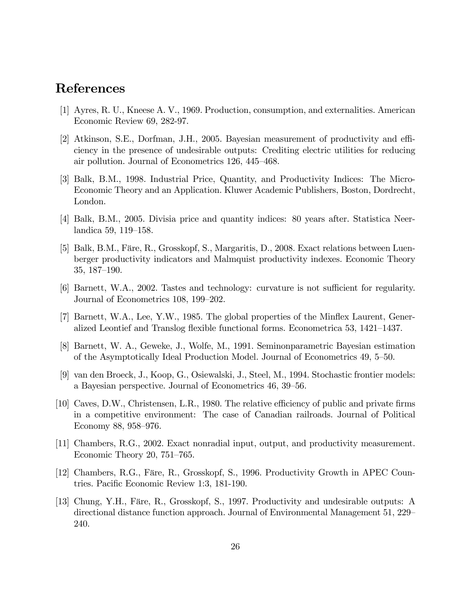### References

- [1] Ayres, R. U., Kneese A. V., 1969. Production, consumption, and externalities. American Economic Review 69, 282-97.
- $[2]$  Atkinson, S.E., Dorfman, J.H., 2005. Bayesian measurement of productivity and efficiency in the presence of undesirable outputs: Crediting electric utilities for reducing air pollution. Journal of Econometrics  $126, 445-468$ .
- [3] Balk, B.M., 1998. Industrial Price, Quantity, and Productivity Indices: The Micro-Economic Theory and an Application. Kluwer Academic Publishers, Boston, Dordrecht, London.
- [4] Balk, B.M., 2005. Divisia price and quantity indices: 80 years after. Statistica Neerlandica 59, 119–158.
- [5] Balk, B.M., Färe, R., Grosskopf, S., Margaritis, D., 2008. Exact relations between Luenberger productivity indicators and Malmquist productivity indexes. Economic Theory  $35, 187-190.$
- [6] Barnett, W.A., 2002. Tastes and technology: curvature is not sufficient for regularity. Journal of Econometrics 108, 199–202.
- [7] Barnett, W.A., Lee, Y.W., 1985. The global properties of the Minflex Laurent, Generalized Leontief and Translog flexible functional forms. Econometrica 53, 1421–1437.
- [8] Barnett, W. A., Geweke, J., Wolfe, M., 1991. Seminonparametric Bayesian estimation of the Asymptotically Ideal Production Model. Journal of Econometrics 49, 5–50.
- [9] van den Broeck, J., Koop, G., Osiewalski, J., Steel, M., 1994. Stochastic frontier models: a Bayesian perspective. Journal of Econometrics 46, 39–56.
- [10] Caves, D.W., Christensen, L.R., 1980. The relative efficiency of public and private firms in a competitive environment: The case of Canadian railroads. Journal of Political Economy 88, 958-976.
- [11] Chambers, R.G., 2002. Exact nonradial input, output, and productivity measurement. Economic Theory 20,  $751-765$ .
- [12] Chambers, R.G., Färe, R., Grosskopf, S., 1996. Productivity Growth in APEC Countries. Pacific Economic Review 1:3, 181-190.
- [13] Chung, Y.H., Färe, R., Grosskopf, S., 1997. Productivity and undesirable outputs: A directional distance function approach. Journal of Environmental Management 51, 229 240.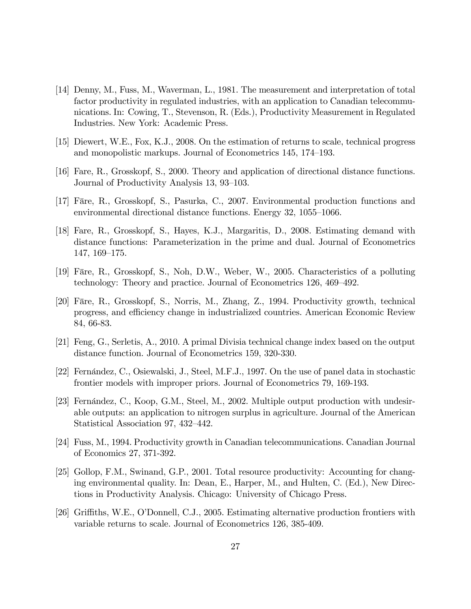- [14] Denny, M., Fuss, M., Waverman, L., 1981. The measurement and interpretation of total factor productivity in regulated industries, with an application to Canadian telecommunications. In: Cowing, T., Stevenson, R. (Eds.), Productivity Measurement in Regulated Industries. New York: Academic Press.
- [15] Diewert, W.E., Fox, K.J., 2008. On the estimation of returns to scale, technical progress and monopolistic markups. Journal of Econometrics 145, 174–193.
- [16] Fare, R., Grosskopf, S., 2000. Theory and application of directional distance functions. Journal of Productivity Analysis 13, 93–103.
- [17] Färe, R., Grosskopf, S., Pasurka, C., 2007. Environmental production functions and environmental directional distance functions. Energy  $32, 1055-1066$ .
- [18] Fare, R., Grosskopf, S., Hayes, K.J., Margaritis, D., 2008. Estimating demand with distance functions: Parameterization in the prime and dual. Journal of Econometrics 147, 169–175.
- [19] Färe, R., Grosskopf, S., Noh, D.W., Weber, W., 2005. Characteristics of a polluting technology: Theory and practice. Journal of Econometrics 126, 469–492.
- [20] Färe, R., Grosskopf, S., Norris, M., Zhang, Z., 1994. Productivity growth, technical progress, and efficiency change in industrialized countries. American Economic Review 84, 66-83.
- [21] Feng, G., Serletis, A., 2010. A primal Divisia technical change index based on the output distance function. Journal of Econometrics 159, 320-330.
- [22] Fernández, C., Osiewalski, J., Steel, M.F.J., 1997. On the use of panel data in stochastic frontier models with improper priors. Journal of Econometrics 79, 169-193.
- [23] Fernández, C., Koop, G.M., Steel, M., 2002. Multiple output production with undesirable outputs: an application to nitrogen surplus in agriculture. Journal of the American Statistical Association 97, 432–442.
- [24] Fuss, M., 1994. Productivity growth in Canadian telecommunications. Canadian Journal of Economics 27, 371-392.
- [25] Gollop, F.M., Swinand, G.P., 2001. Total resource productivity: Accounting for changing environmental quality. In: Dean, E., Harper, M., and Hulten, C. (Ed.), New Directions in Productivity Analysis. Chicago: University of Chicago Press.
- [26] Griffiths, W.E., O'Donnell, C.J., 2005. Estimating alternative production frontiers with variable returns to scale. Journal of Econometrics 126, 385-409.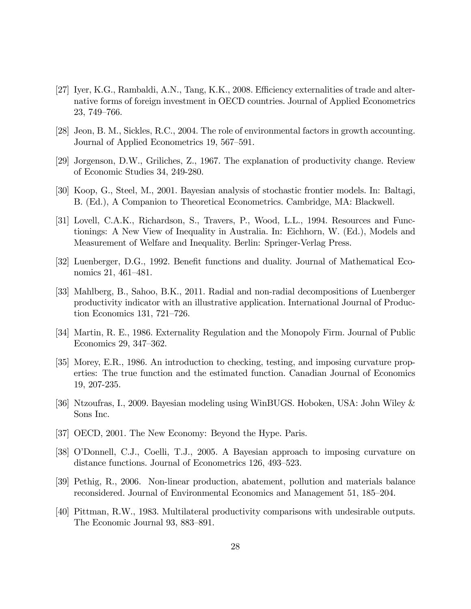- [27] Iyer, K.G., Rambaldi, A.N., Tang, K.K., 2008. Efficiency externalities of trade and alternative forms of foreign investment in OECD countries. Journal of Applied Econometrics 23, 749–766.
- [28] Jeon, B. M., Sickles, R.C., 2004. The role of environmental factors in growth accounting. Journal of Applied Econometrics 19, 567–591.
- [29] Jorgenson, D.W., Griliches, Z., 1967. The explanation of productivity change. Review of Economic Studies 34, 249-280.
- [30] Koop, G., Steel, M., 2001. Bayesian analysis of stochastic frontier models. In: Baltagi, B. (Ed.), A Companion to Theoretical Econometrics. Cambridge, MA: Blackwell.
- [31] Lovell, C.A.K., Richardson, S., Travers, P., Wood, L.L., 1994. Resources and Functionings: A New View of Inequality in Australia. In: Eichhorn, W. (Ed.), Models and Measurement of Welfare and Inequality. Berlin: Springer-Verlag Press.
- [32] Luenberger, D.G., 1992. Benefit functions and duality. Journal of Mathematical Economics 21, 461–481.
- [33] Mahlberg, B., Sahoo, B.K., 2011. Radial and non-radial decompositions of Luenberger productivity indicator with an illustrative application. International Journal of Production Economics 131,  $721-726$ .
- [34] Martin, R. E., 1986. Externality Regulation and the Monopoly Firm. Journal of Public Economics 29, 347–362.
- [35] Morey, E.R., 1986. An introduction to checking, testing, and imposing curvature properties: The true function and the estimated function. Canadian Journal of Economics 19, 207-235.
- [36] Ntzoufras, I., 2009. Bayesian modeling using WinBUGS. Hoboken, USA: John Wiley & Sons Inc.
- [37] OECD, 2001. The New Economy: Beyond the Hype. Paris.
- [38] OíDonnell, C.J., Coelli, T.J., 2005. A Bayesian approach to imposing curvature on distance functions. Journal of Econometrics 126, 493–523.
- [39] Pethig, R., 2006. Non-linear production, abatement, pollution and materials balance reconsidered. Journal of Environmental Economics and Management 51, 185–204.
- [40] Pittman, R.W., 1983. Multilateral productivity comparisons with undesirable outputs. The Economic Journal 93, 883–891.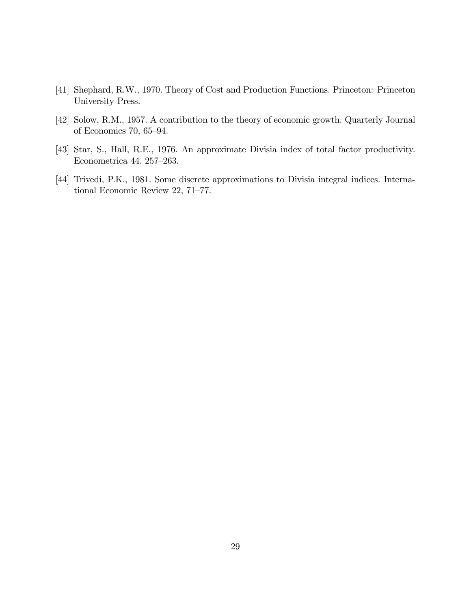- [41] Shephard, R.W., 1970. Theory of Cost and Production Functions. Princeton: Princeton University Press.
- [42] Solow, R.M., 1957. A contribution to the theory of economic growth. Quarterly Journal of Economics 70,  $65-94$ .
- [43] Star, S., Hall, R.E., 1976. An approximate Divisia index of total factor productivity. Econometrica 44, 257–263.
- [44] Trivedi, P.K., 1981. Some discrete approximations to Divisia integral indices. International Economic Review 22, 71-77.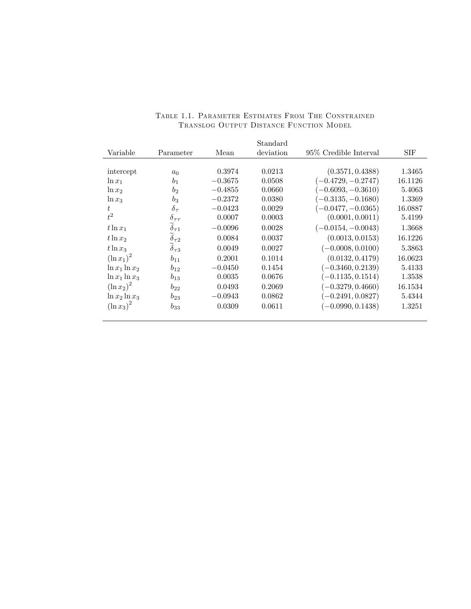|                   |                               |           | Standard  |                        |            |
|-------------------|-------------------------------|-----------|-----------|------------------------|------------|
| Variable          | Parameter                     | Mean      | deviation | 95\% Credible Interval | <b>SIF</b> |
|                   |                               |           |           |                        |            |
| intercept         | $a_0$                         | 0.3974    | 0.0213    | (0.3571, 0.4388)       | 1.3465     |
| $\ln x_1$         | b <sub>1</sub>                | $-0.3675$ | 0.0508    | $(-0.4729, -0.2747)$   | 16.1126    |
| $\ln x_2$         | b <sub>2</sub>                | $-0.4855$ | 0.0660    | $(-0.6093, -0.3610)$   | 5.4063     |
| $\ln x_3$         | $b_3$                         | $-0.2372$ | 0.0380    | $(-0.3135, -0.1680)$   | 1.3369     |
| $t_{i}$           | $\delta_{\tau}$               | $-0.0423$ | 0.0029    | $(-0.0477, -0.0365)$   | 16.0887    |
| $t^2$             | $\delta_{\tau\tau}$           | 0.0007    | 0.0003    | (0.0001, 0.0011)       | 5.4199     |
| $t\ln x_1$        | $\widetilde{\delta}_{\tau 1}$ | $-0.0096$ | 0.0028    | $(-0.0154, -0.0043)$   | 1.3668     |
| $t\ln x_2$        | $\delta_{\tau 2}$             | 0.0084    | 0.0037    | (0.0013, 0.0153)       | 16.1226    |
| $t\ln x_3$        | $\delta_{\tau}$ 3             | 0.0049    | 0.0027    | $(-0.0008, 0.0100)$    | 5.3863     |
| $(\ln x_1)^2$     | $b_{11}$                      | 0.2001    | 0.1014    | (0.0132, 0.4179)       | 16.0623    |
| $\ln x_1 \ln x_2$ | $b_{12}$                      | $-0.0450$ | 0.1454    | $(-0.3460, 0.2139)$    | 5.4133     |
| $\ln x_1 \ln x_3$ | $b_{13}$                      | 0.0035    | 0.0676    | $(-0.1135, 0.1514)$    | 1.3538     |
| $(\ln x_2)^2$     | $b_{22}$                      | 0.0493    | 0.2069    | $(-0.3279, 0.4660)$    | 16.1534    |
| $\ln x_2 \ln x_3$ | $b_{23}$                      | $-0.0943$ | 0.0862    | $(-0.2491, 0.0827)$    | 5.4344     |
| $(\ln x_3)^2$     | $b_{33}$                      | 0.0309    | 0.0611    | $(-0.0990, 0.1438)$    | 1.3251     |

#### Table 1.1. Parameter Estimates From The Constrained Translog Output Distance Function Model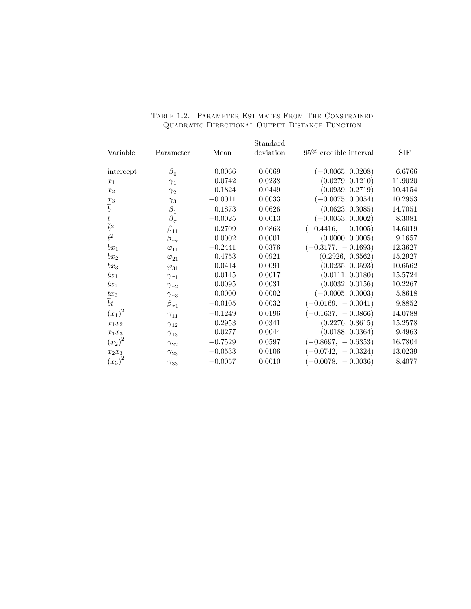|                   |                    |           | Standard  |                          |            |
|-------------------|--------------------|-----------|-----------|--------------------------|------------|
| Variable          | Parameter          | Mean      | deviation | $95\%$ credible interval | <b>SIF</b> |
|                   |                    |           |           |                          |            |
| intercept         | $\beta_0$          | 0.0066    | 0.0069    | $(-0.0065, 0.0208)$      | 6.6766     |
| $x_1$             | $\gamma_1$         | 0.0742    | 0.0238    | (0.0279, 0.1210)         | 11.9020    |
| x <sub>2</sub>    | $\gamma_2$         | 0.1824    | 0.0449    | (0.0939, 0.2719)         | 10.4154    |
| $x_3$             | $\gamma_3$         | $-0.0011$ | 0.0033    | $(-0.0075, 0.0054)$      | 10.2953    |
| $\widetilde{b}$   | $\beta_1$          | 0.1873    | 0.0626    | (0.0623, 0.3085)         | 14.7051    |
| t                 | $\beta_\tau$       | $-0.0025$ | 0.0013    | $(-0.0053, 0.0002)$      | 8.3081     |
| $\widetilde{b}^2$ | $\beta_{11}$       | $-0.2709$ | 0.0863    | $(-0.4416, -0.1005)$     | 14.6019    |
| $t^2$             | $\beta_{\tau\tau}$ | 0.0002    | 0.0001    | (0.0000, 0.0005)         | 9.1657     |
| $bx_1$            | $\varphi_{11}$     | $-0.2441$ | 0.0376    | $(-0.3177, -0.1693)$     | 12.3627    |
| $bx_2$            | $\varphi_{21}$     | 0.4753    | 0.0921    | (0.2926, 0.6562)         | 15.2927    |
| $bx_3$            | $\varphi_{31}$     | 0.0414    | 0.0091    | (0.0235, 0.0593)         | 10.6562    |
| $tx_1$            | $\gamma_{\tau 1}$  | 0.0145    | 0.0017    | (0.0111, 0.0180)         | 15.5724    |
| $tx_2$            | $\gamma_{\tau2}$   | 0.0095    | 0.0031    | (0.0032, 0.0156)         | 10.2267    |
| $tx_3$            | $\gamma_{\tau 3}$  | 0.0000    | 0.0002    | $(-0.0005, 0.0003)$      | 5.8618     |
| bt                | $\beta_{\tau 1}$   | $-0.0105$ | 0.0032    | $(-0.0169, -0.0041)$     | 9.8852     |
| $(x_1)^2$         | $\gamma_{11}$      | $-0.1249$ | 0.0196    | $(-0.1637, -0.0866)$     | 14.0788    |
| $x_1 \\ x_2$      | $\gamma_{12}$      | 0.2953    | 0.0341    | (0.2276, 0.3615)         | 15.2578    |
| $x_1x_3$          | $\gamma_{13}$      | 0.0277    | 0.0044    | (0.0188, 0.0364)         | 9.4963     |
| $(x_2)^2$         | $\gamma_{22}$      | $-0.7529$ | 0.0597    | $(-0.8697, -0.6353)$     | 16.7804    |
| $x_2x_3$          | $\gamma_{23}$      | $-0.0533$ | 0.0106    | $(-0.0742, -0.0324)$     | 13.0239    |
| $(x_3)^2$         | $\gamma_{33}$      | $-0.0057$ | 0.0010    | $(-0.0078, -0.0036)$     | 8.4077     |
|                   |                    |           |           |                          |            |

#### Table 1.2. Parameter Estimates From The Constrained Quadratic Directional Output Distance Function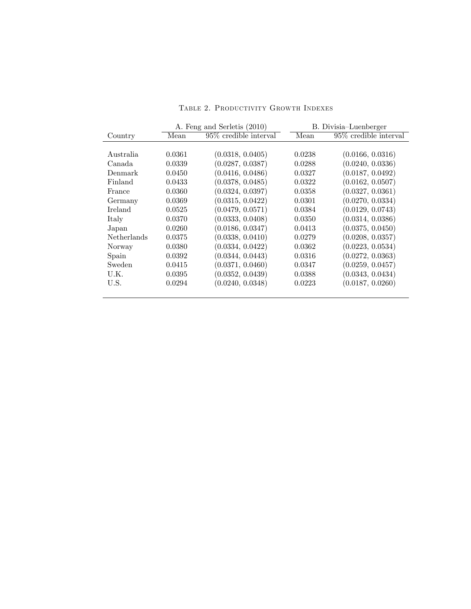| TABLE 2. PRODUCTIVITY GROWTH INDEXES |  |  |
|--------------------------------------|--|--|
|--------------------------------------|--|--|

|                    |        | A. Feng and Serletis (2010) | B. Divisia–Luenberger |                          |
|--------------------|--------|-----------------------------|-----------------------|--------------------------|
| Country            | Mean   | 95\% credible interval      | Mean                  | $95\%$ credible interval |
|                    |        |                             |                       |                          |
| Australia          | 0.0361 | (0.0318, 0.0405)            | 0.0238                | (0.0166, 0.0316)         |
| Canada             | 0.0339 | (0.0287, 0.0387)            | 0.0288                | (0.0240, 0.0336)         |
| Denmark            | 0.0450 | (0.0416, 0.0486)            | 0.0327                | (0.0187, 0.0492)         |
| Finland            | 0.0433 | (0.0378, 0.0485)            | 0.0322                | (0.0162, 0.0507)         |
| France             | 0.0360 | (0.0324, 0.0397)            | 0.0358                | (0.0327, 0.0361)         |
| Germany            | 0.0369 | (0.0315, 0.0422)            | 0.0301                | (0.0270, 0.0334)         |
| Ireland            | 0.0525 | (0.0479, 0.0571)            | 0.0384                | (0.0129, 0.0743)         |
| Italy              | 0.0370 | (0.0333, 0.0408)            | 0.0350                | (0.0314, 0.0386)         |
| Japan              | 0.0260 | (0.0186, 0.0347)            | 0.0413                | (0.0375, 0.0450)         |
| <b>Netherlands</b> | 0.0375 | (0.0338, 0.0410)            | 0.0279                | (0.0208, 0.0357)         |
| Norway             | 0.0380 | (0.0334, 0.0422)            | 0.0362                | (0.0223, 0.0534)         |
| Spain              | 0.0392 | (0.0344, 0.0443)            | 0.0316                | (0.0272, 0.0363)         |
| Sweden             | 0.0415 | (0.0371, 0.0460)            | 0.0347                | (0.0259, 0.0457)         |
| U.K.               | 0.0395 | (0.0352, 0.0439)            | 0.0388                | (0.0343, 0.0434)         |
| U.S.               | 0.0294 | (0.0240, 0.0348)            | 0.0223                | (0.0187, 0.0260)         |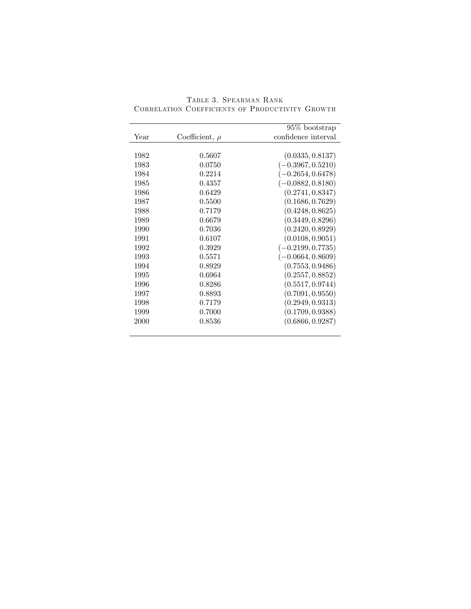| $95\%$ bootstrap    |                     |      |
|---------------------|---------------------|------|
| confidence interval | Coefficient, $\rho$ | Year |
| (0.0335, 0.8137)    | 0.5607              | 1982 |
| $(-0.3967, 0.5210)$ | 0.0750              | 1983 |
| $(-0.2654, 0.6478)$ | 0.2214              | 1984 |
| $(-0.0882, 0.8180)$ | 0.4357              | 1985 |
| (0.2741, 0.8347)    | 0.6429              | 1986 |
| (0.1686, 0.7629)    | 0.5500              | 1987 |
| (0.4248, 0.8625)    | 0.7179              | 1988 |
| (0.3449, 0.8296)    | 0.6679              | 1989 |
| (0.2420, 0.8929)    | 0.7036              | 1990 |
| (0.0108, 0.9051)    | 0.6107              | 1991 |
| $(-0.2199, 0.7735)$ | 0.3929              | 1992 |
| $(-0.0664, 0.8609)$ | 0.5571              | 1993 |
| (0.7553, 0.9486)    | 0.8929              | 1994 |
| (0.2557, 0.8852)    | 0.6964              | 1995 |
| (0.5517, 0.9744)    | 0.8286              | 1996 |
| (0.7091, 0.9550)    | 0.8893              | 1997 |
| (0.2949, 0.9313)    | 0.7179              | 1998 |
| (0.1709, 0.9388)    | 0.7000              | 1999 |
| (0.6866, 0.9287)    | 0.8536              | 2000 |

Table 3. Spearman Rank Correlation Coefficients of Productivity Growth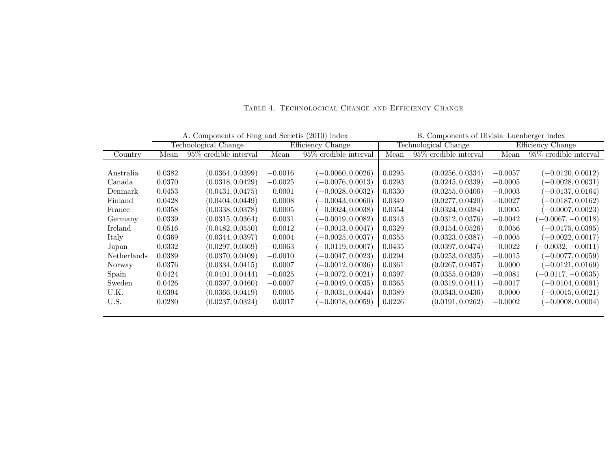|             |        |                          | A. Components of Feng and Serletis (2010) index |                        |        | B. Components of Divisia–Luenberger index |           |                          |
|-------------|--------|--------------------------|-------------------------------------------------|------------------------|--------|-------------------------------------------|-----------|--------------------------|
|             |        | Technological Change     |                                                 | Efficiency Change      |        | Technological Change                      |           | Efficiency Change        |
| Country     | Mean   | $95\%$ credible interval | Mean                                            | 95\% credible interval | Mean   | $95\%$ credible interval                  | Mean      | $95\%$ credible interval |
|             |        |                          |                                                 |                        |        |                                           |           |                          |
| Australia   | 0.0382 | (0.0364, 0.0399)         | $-0.0016$                                       | $-0.0060, 0.0026$      | 0.0295 | (0.0256, 0.0334)                          | $-0.0057$ | $(-0.0120, 0.0012)$      |
| Canada      | 0.0370 | (0.0318, 0.0429)         | $-0.0025$                                       | $-0.0076, 0.0013$      | 0.0293 | (0.0245,0.0339)                           | $-0.0005$ | $-0.0028, 0.0031)$       |
| Denmark     | 0.0453 | (0.0431, 0.0475)         | 0.0001                                          | $-0.0028, 0.0032)$     | 0.0330 | (0.0255, 0.0406)                          | $-0.0003$ | $-0.0137, 0.0164)$       |
| Finland     | 0.0428 | (0.0404, 0.0449)         | 0.0008                                          | $-0.0043, 0.0060)$     | 0.0349 | (0.0277, 0.0420)                          | $-0.0027$ | $(-0.0187, 0.0162)$      |
| France      | 0.0358 | (0.0338, 0.0378)         | 0.0005                                          | $-0.0024, 0.0038)$     | 0.0354 | (0.0324, 0.0384)                          | 0.0005    | $(-0.0007, 0.0023)$      |
| Germany     | 0.0339 | (0.0315, 0.0364)         | 0.0031                                          | $-0.0019, 0.0082)$     | 0.0343 | (0.0312, 0.0376)                          | $-0.0042$ | $(-0.0067, -0.0018)$     |
| Ireland     | 0.0516 | (0.0482, 0.0550)         | 0.0012                                          | $-0.0013, 0.0047$      | 0.0329 | (0.0154, 0.0526)                          | 0.0056    | $(-0.0175, 0.0395)$      |
| Italy       | 0.0369 | (0.0344, 0.0397)         | 0.0004                                          | $-0.0025, 0.0037$      | 0.0355 | (0.0323, 0.0387)                          | $-0.0005$ | $(-0.0022, 0.0017)$      |
| Japan       | 0.0332 | (0.0297, 0.0369)         | $-0.0063$                                       | $-0.0119, 0.0007$      | 0.0435 | (0.0397, 0.0474)                          | $-0.0022$ | $(-0.0032, -0.0011)$     |
| Netherlands | 0.0389 | (0.0370, 0.0409)         | $-0.0010$                                       | $-0.0047, 0.0023$      | 0.0294 | (0.0253, 0.0335)                          | $-0.0015$ | $(-0.0077, 0.0059)$      |
| Norway      | 0.0376 | (0.0334, 0.0415)         | 0.0007                                          | $-0.0012, 0.0036$      | 0.0361 | (0.0267, 0.0457)                          | 0.0000    | $(-0.0121, 0.0169)$      |
| Spain       | 0.0424 | (0.0401, 0.0444)         | $-0.0025$                                       | $-0.0072, 0.0021$      | 0.0397 | (0.0355, 0.0439)                          | $-0.0081$ | $(-0.0117, -0.0035)$     |
| Sweden      | 0.0426 | (0.0397, 0.0460)         | $-0.0007$                                       | $-0.0049, 0.0035$      | 0.0365 | (0.0319, 0.0411)                          | $-0.0017$ | $(-0.0104, 0.0091)$      |
| U.K.        | 0.0394 | (0.0366, 0.0419)         | 0.0005                                          | $-0.0031, 0.0044$      | 0.0389 | (0.0343, 0.0436)                          | 0.0000    | $-0.0015, 0.0021)$       |
| U.S.        | 0.0280 | (0.0237, 0.0324)         | 0.0017                                          | $(-0.0018, 0.0059)$    | 0.0226 | (0.0191, 0.0262)                          | $-0.0002$ | $(-0.0008, 0.0004)$      |
|             |        |                          |                                                 |                        |        |                                           |           |                          |

Table 4. Technological Change and Efficiency Change